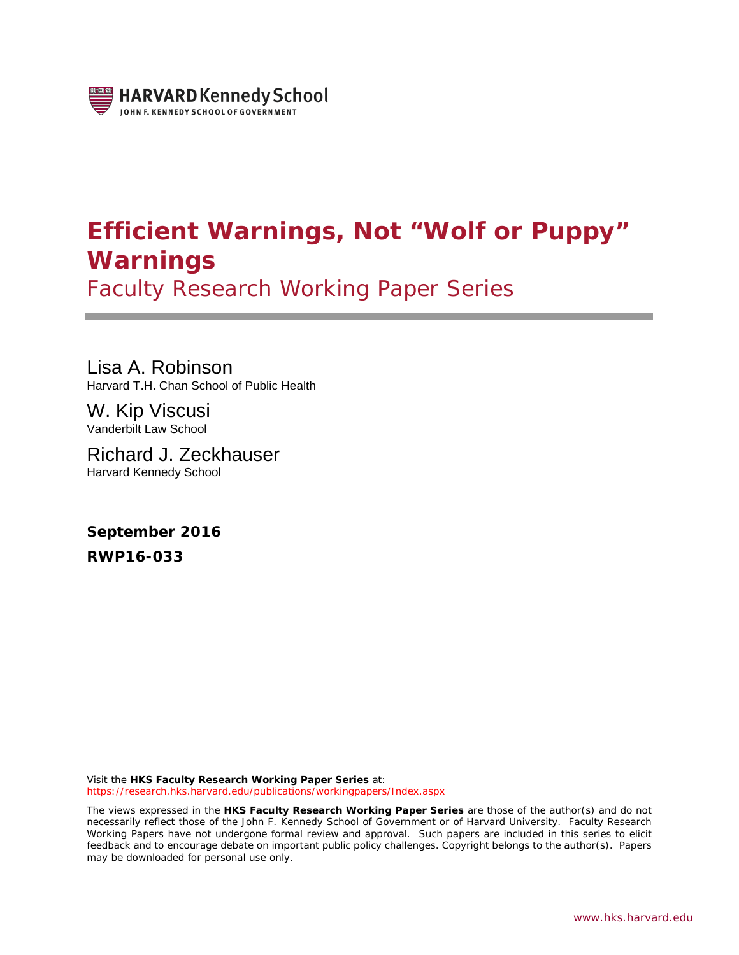

# **Efficient Warnings, Not "Wolf or Puppy" Warnings**

Faculty Research Working Paper Series

Lisa A. Robinson Harvard T.H. Chan School of Public Health

W. Kip Viscusi Vanderbilt Law School

Richard J. Zeckhauser Harvard Kennedy School

**September 2016 RWP16-033**

Visit the **HKS Faculty Research Working Paper Series** at: <https://research.hks.harvard.edu/publications/workingpapers/Index.aspx>

The views expressed in the **HKS Faculty Research Working Paper Series** are those of the author(s) and do not necessarily reflect those of the John F. Kennedy School of Government or of Harvard University. Faculty Research Working Papers have not undergone formal review and approval. Such papers are included in this series to elicit feedback and to encourage debate on important public policy challenges. Copyright belongs to the author(s). Papers may be downloaded for personal use only.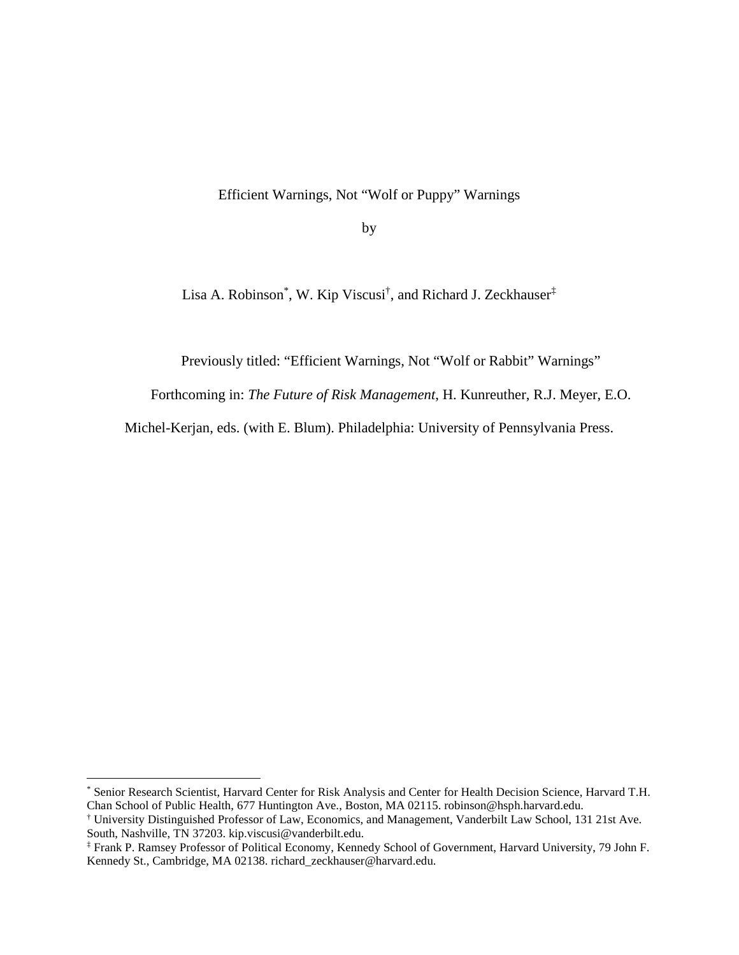## Efficient Warnings, Not "Wolf or Puppy" Warnings

by

Lisa A. Robinson<sup>\*</sup>, W. Kip Viscusi<sup>†</sup>, and Richard J. Zeckhauser<sup>‡</sup>

Previously titled: "Efficient Warnings, Not "Wolf or Rabbit" Warnings"

Forthcoming in: *The Future of Risk Management*, H. Kunreuther, R.J. Meyer, E.O.

Michel-Kerjan, eds. (with E. Blum). Philadelphia: University of Pennsylvania Press.

 $\overline{\phantom{a}}$ 

<sup>\*</sup> Senior Research Scientist, Harvard Center for Risk Analysis and Center for Health Decision Science, Harvard T.H. Chan School of Public Health, 677 Huntington Ave., Boston, MA 02115. robinson@hsph.harvard.edu.

<sup>†</sup> University Distinguished Professor of Law, Economics, and Management, Vanderbilt Law School, 131 21st Ave. South, Nashville, TN 37203[. kip.viscusi@vanderbilt.edu.](mailto:kip.viscusi@vanderbilt.edu)

<sup>‡</sup> Frank P. Ramsey Professor of Political Economy, Kennedy School of Government, Harvard University, 79 John F. Kennedy St., Cambridge, MA 02138. richard\_zeckhauser@harvard.edu.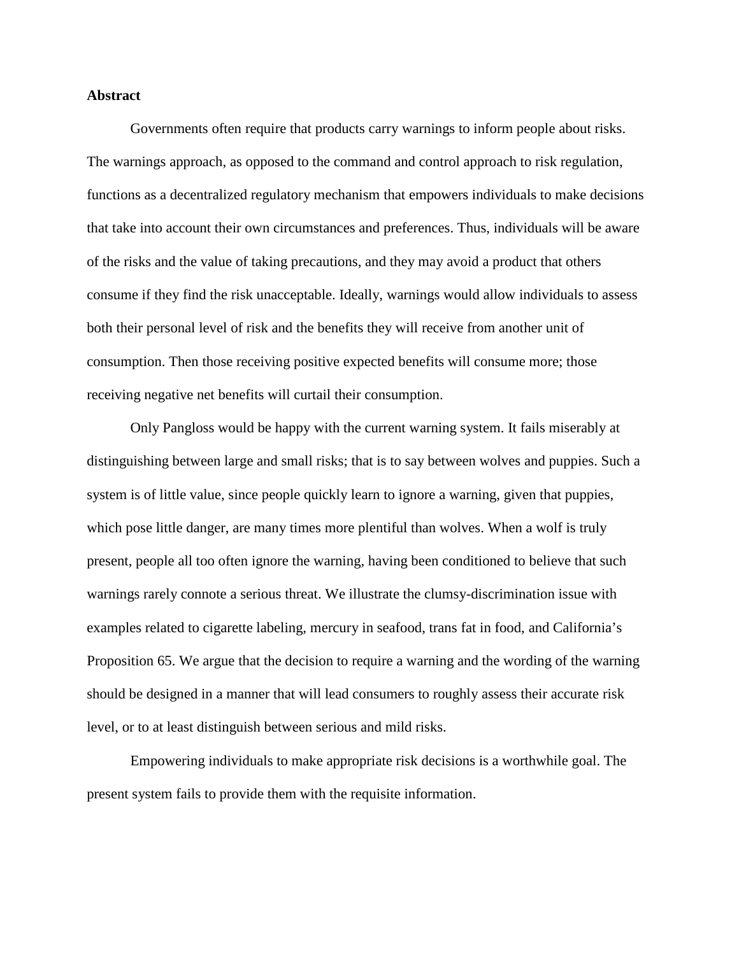### **Abstract**

Governments often require that products carry warnings to inform people about risks. The warnings approach, as opposed to the command and control approach to risk regulation, functions as a decentralized regulatory mechanism that empowers individuals to make decisions that take into account their own circumstances and preferences. Thus, individuals will be aware of the risks and the value of taking precautions, and they may avoid a product that others consume if they find the risk unacceptable. Ideally, warnings would allow individuals to assess both their personal level of risk and the benefits they will receive from another unit of consumption. Then those receiving positive expected benefits will consume more; those receiving negative net benefits will curtail their consumption.

Only Pangloss would be happy with the current warning system. It fails miserably at distinguishing between large and small risks; that is to say between wolves and puppies. Such a system is of little value, since people quickly learn to ignore a warning, given that puppies, which pose little danger, are many times more plentiful than wolves. When a wolf is truly present, people all too often ignore the warning, having been conditioned to believe that such warnings rarely connote a serious threat. We illustrate the clumsy-discrimination issue with examples related to cigarette labeling, mercury in seafood, trans fat in food, and California's Proposition 65. We argue that the decision to require a warning and the wording of the warning should be designed in a manner that will lead consumers to roughly assess their accurate risk level, or to at least distinguish between serious and mild risks.

Empowering individuals to make appropriate risk decisions is a worthwhile goal. The present system fails to provide them with the requisite information.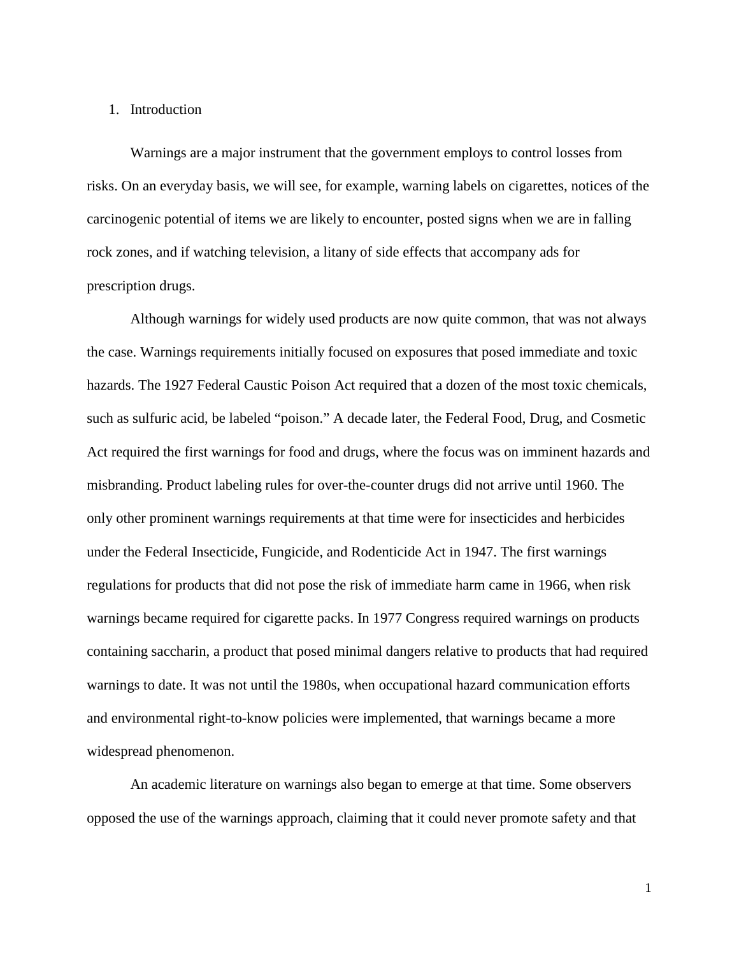## 1. Introduction

Warnings are a major instrument that the government employs to control losses from risks. On an everyday basis, we will see, for example, warning labels on cigarettes, notices of the carcinogenic potential of items we are likely to encounter, posted signs when we are in falling rock zones, and if watching television, a litany of side effects that accompany ads for prescription drugs.

Although warnings for widely used products are now quite common, that was not always the case. Warnings requirements initially focused on exposures that posed immediate and toxic hazards. The 1927 Federal Caustic Poison Act required that a dozen of the most toxic chemicals, such as sulfuric acid, be labeled "poison." A decade later, the Federal Food, Drug, and Cosmetic Act required the first warnings for food and drugs, where the focus was on imminent hazards and misbranding. Product labeling rules for over-the-counter drugs did not arrive until 1960. The only other prominent warnings requirements at that time were for insecticides and herbicides under the Federal Insecticide, Fungicide, and Rodenticide Act in 1947. The first warnings regulations for products that did not pose the risk of immediate harm came in 1966, when risk warnings became required for cigarette packs. In 1977 Congress required warnings on products containing saccharin, a product that posed minimal dangers relative to products that had required warnings to date. It was not until the 1980s, when occupational hazard communication efforts and environmental right-to-know policies were implemented, that warnings became a more widespread phenomenon.

An academic literature on warnings also began to emerge at that time. Some observers opposed the use of the warnings approach, claiming that it could never promote safety and that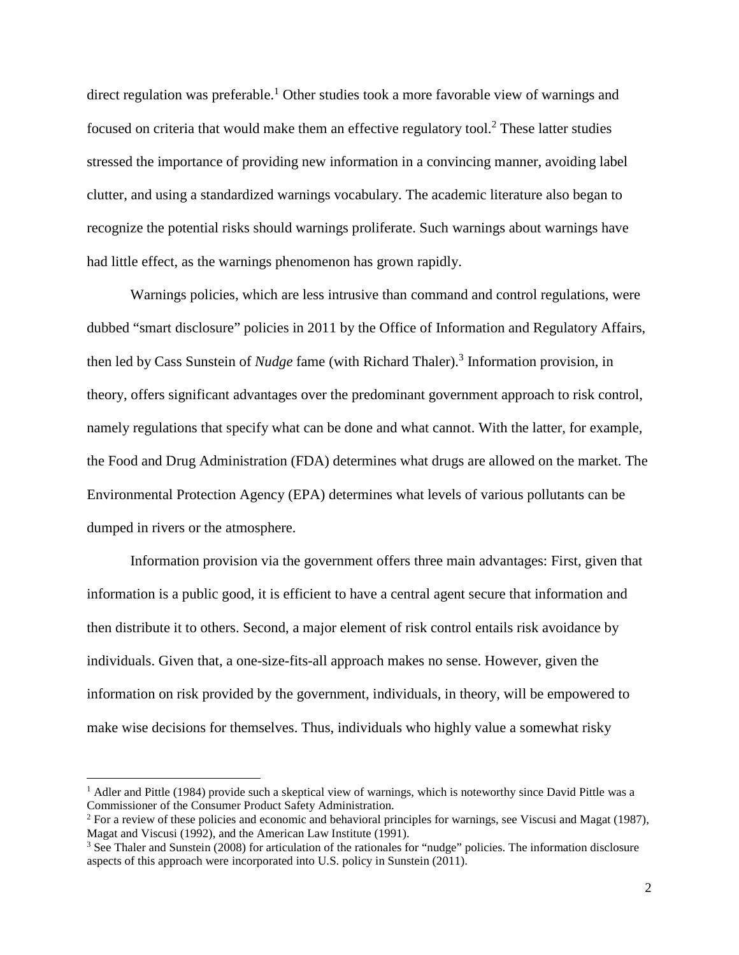direct regulation was preferable.<sup>1</sup> Other studies took a more favorable view of warnings and focused on criteria that would make them an effective regulatory tool.<sup>2</sup> These latter studies stressed the importance of providing new information in a convincing manner, avoiding label clutter, and using a standardized warnings vocabulary. The academic literature also began to recognize the potential risks should warnings proliferate. Such warnings about warnings have had little effect, as the warnings phenomenon has grown rapidly.

Warnings policies, which are less intrusive than command and control regulations, were dubbed "smart disclosure" policies in 2011 by the Office of Information and Regulatory Affairs, then led by Cass Sunstein of *Nudge* fame (with Richard Thaler).<sup>3</sup> Information provision, in theory, offers significant advantages over the predominant government approach to risk control, namely regulations that specify what can be done and what cannot. With the latter, for example, the Food and Drug Administration (FDA) determines what drugs are allowed on the market. The Environmental Protection Agency (EPA) determines what levels of various pollutants can be dumped in rivers or the atmosphere.

Information provision via the government offers three main advantages: First, given that information is a public good, it is efficient to have a central agent secure that information and then distribute it to others. Second, a major element of risk control entails risk avoidance by individuals. Given that, a one-size-fits-all approach makes no sense. However, given the information on risk provided by the government, individuals, in theory, will be empowered to make wise decisions for themselves. Thus, individuals who highly value a somewhat risky

 $\overline{\phantom{a}}$ 

 $1$  Adler and Pittle (1984) provide such a skeptical view of warnings, which is noteworthy since David Pittle was a Commissioner of the Consumer Product Safety Administration.

<sup>&</sup>lt;sup>2</sup> For a review of these policies and economic and behavioral principles for warnings, see Viscusi and Magat (1987), Magat and Viscusi (1992), and the American Law Institute (1991).

<sup>&</sup>lt;sup>3</sup> See Thaler and Sunstein (2008) for articulation of the rationales for "nudge" policies. The information disclosure aspects of this approach were incorporated into U.S. policy in Sunstein (2011).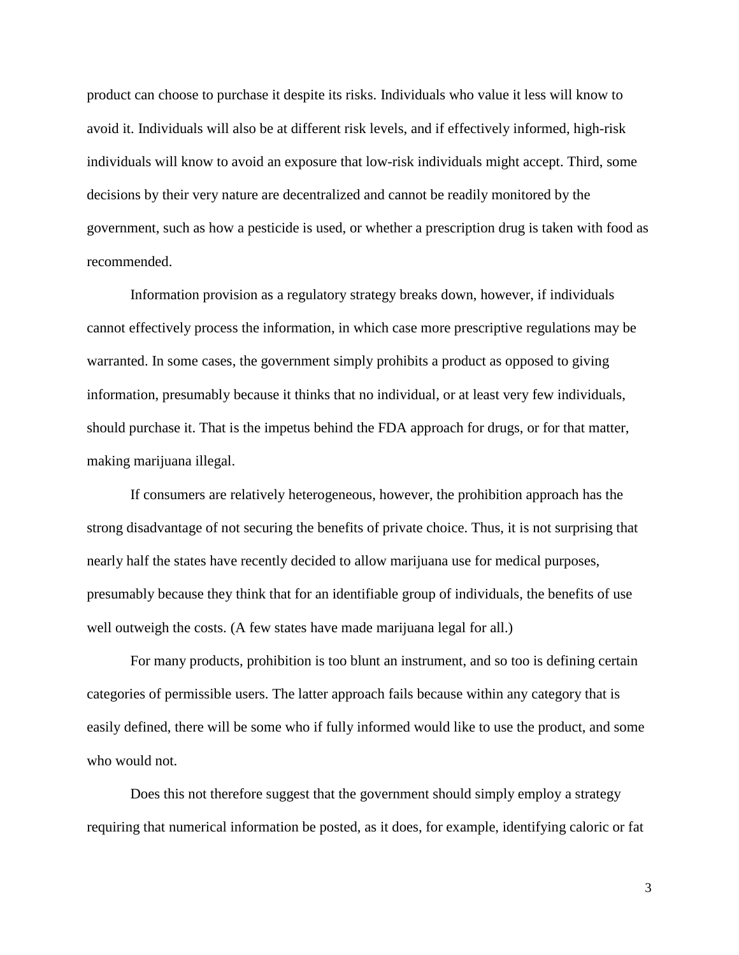product can choose to purchase it despite its risks. Individuals who value it less will know to avoid it. Individuals will also be at different risk levels, and if effectively informed, high-risk individuals will know to avoid an exposure that low-risk individuals might accept. Third, some decisions by their very nature are decentralized and cannot be readily monitored by the government, such as how a pesticide is used, or whether a prescription drug is taken with food as recommended.

Information provision as a regulatory strategy breaks down, however, if individuals cannot effectively process the information, in which case more prescriptive regulations may be warranted. In some cases, the government simply prohibits a product as opposed to giving information, presumably because it thinks that no individual, or at least very few individuals, should purchase it. That is the impetus behind the FDA approach for drugs, or for that matter, making marijuana illegal.

If consumers are relatively heterogeneous, however, the prohibition approach has the strong disadvantage of not securing the benefits of private choice. Thus, it is not surprising that nearly half the states have recently decided to allow marijuana use for medical purposes, presumably because they think that for an identifiable group of individuals, the benefits of use well outweigh the costs. (A few states have made marijuana legal for all.)

For many products, prohibition is too blunt an instrument, and so too is defining certain categories of permissible users. The latter approach fails because within any category that is easily defined, there will be some who if fully informed would like to use the product, and some who would not.

Does this not therefore suggest that the government should simply employ a strategy requiring that numerical information be posted, as it does, for example, identifying caloric or fat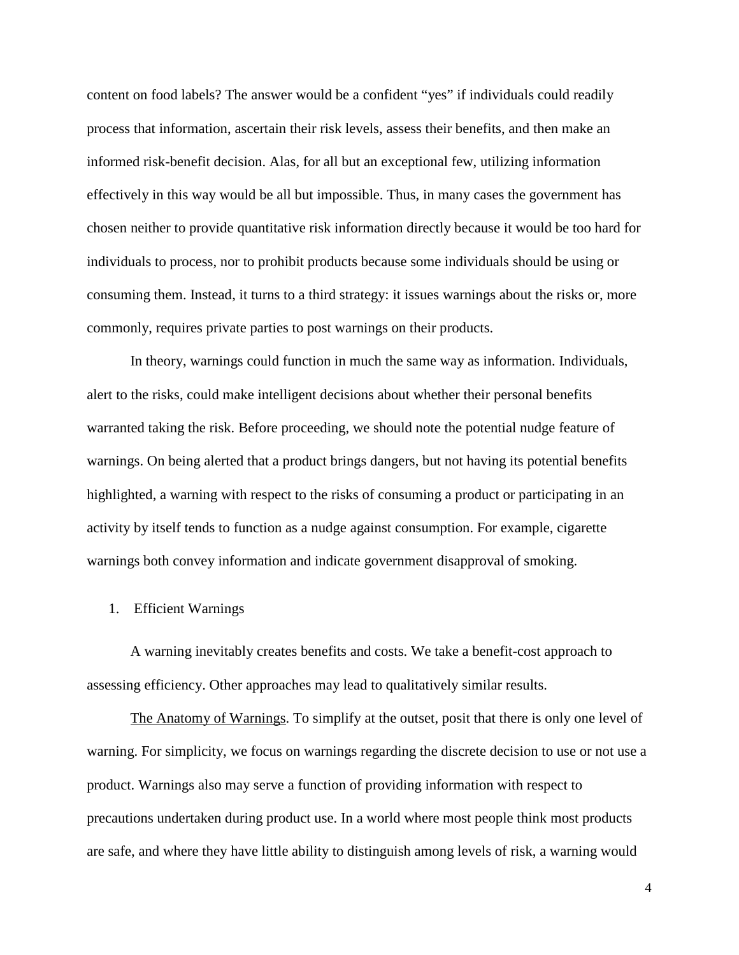content on food labels? The answer would be a confident "yes" if individuals could readily process that information, ascertain their risk levels, assess their benefits, and then make an informed risk-benefit decision. Alas, for all but an exceptional few, utilizing information effectively in this way would be all but impossible. Thus, in many cases the government has chosen neither to provide quantitative risk information directly because it would be too hard for individuals to process, nor to prohibit products because some individuals should be using or consuming them. Instead, it turns to a third strategy: it issues warnings about the risks or, more commonly, requires private parties to post warnings on their products.

In theory, warnings could function in much the same way as information. Individuals, alert to the risks, could make intelligent decisions about whether their personal benefits warranted taking the risk. Before proceeding, we should note the potential nudge feature of warnings. On being alerted that a product brings dangers, but not having its potential benefits highlighted, a warning with respect to the risks of consuming a product or participating in an activity by itself tends to function as a nudge against consumption. For example, cigarette warnings both convey information and indicate government disapproval of smoking.

#### 1. Efficient Warnings

A warning inevitably creates benefits and costs. We take a benefit-cost approach to assessing efficiency. Other approaches may lead to qualitatively similar results.

The Anatomy of Warnings. To simplify at the outset, posit that there is only one level of warning. For simplicity, we focus on warnings regarding the discrete decision to use or not use a product. Warnings also may serve a function of providing information with respect to precautions undertaken during product use. In a world where most people think most products are safe, and where they have little ability to distinguish among levels of risk, a warning would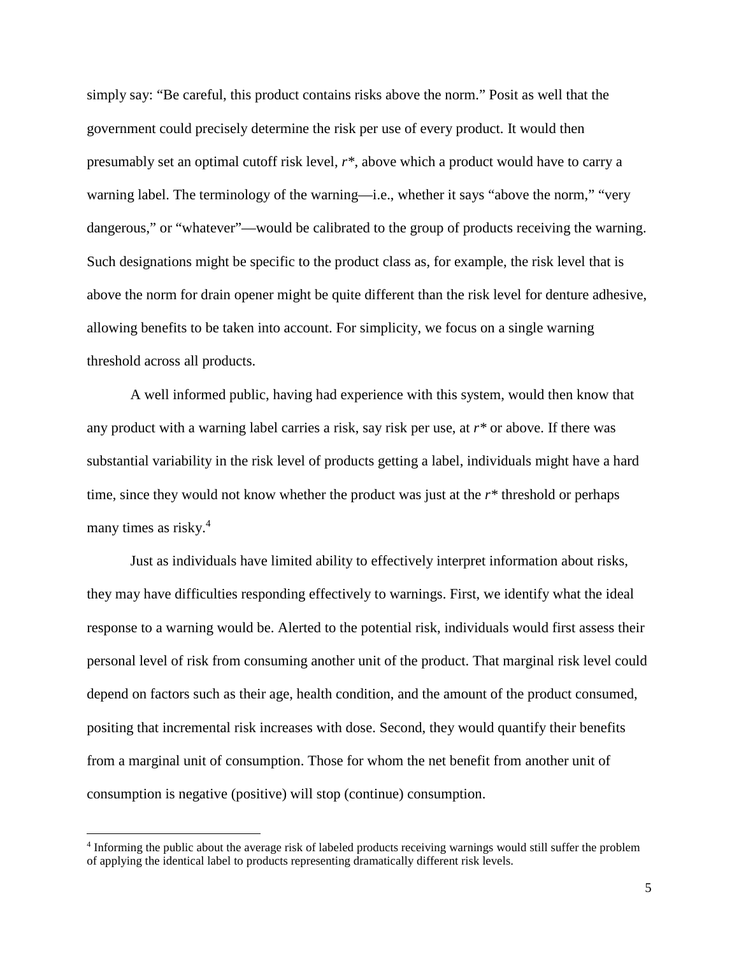simply say: "Be careful, this product contains risks above the norm." Posit as well that the government could precisely determine the risk per use of every product. It would then presumably set an optimal cutoff risk level, *r\**, above which a product would have to carry a warning label. The terminology of the warning—i.e., whether it says "above the norm," "very dangerous," or "whatever"—would be calibrated to the group of products receiving the warning. Such designations might be specific to the product class as, for example, the risk level that is above the norm for drain opener might be quite different than the risk level for denture adhesive, allowing benefits to be taken into account. For simplicity, we focus on a single warning threshold across all products.

A well informed public, having had experience with this system, would then know that any product with a warning label carries a risk, say risk per use, at *r\** or above. If there was substantial variability in the risk level of products getting a label, individuals might have a hard time, since they would not know whether the product was just at the *r\** threshold or perhaps many times as risky. $4$ 

Just as individuals have limited ability to effectively interpret information about risks, they may have difficulties responding effectively to warnings. First, we identify what the ideal response to a warning would be. Alerted to the potential risk, individuals would first assess their personal level of risk from consuming another unit of the product. That marginal risk level could depend on factors such as their age, health condition, and the amount of the product consumed, positing that incremental risk increases with dose. Second, they would quantify their benefits from a marginal unit of consumption. Those for whom the net benefit from another unit of consumption is negative (positive) will stop (continue) consumption.

<sup>4</sup> Informing the public about the average risk of labeled products receiving warnings would still suffer the problem of applying the identical label to products representing dramatically different risk levels.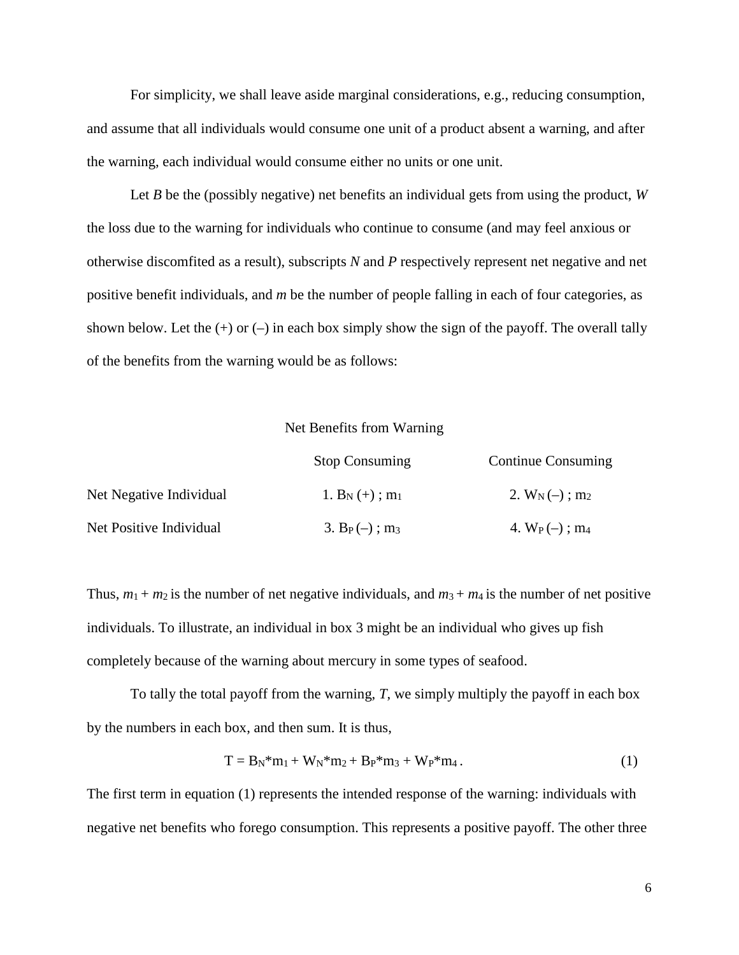For simplicity, we shall leave aside marginal considerations, e.g., reducing consumption, and assume that all individuals would consume one unit of a product absent a warning, and after the warning, each individual would consume either no units or one unit.

Let *B* be the (possibly negative) net benefits an individual gets from using the product, *W* the loss due to the warning for individuals who continue to consume (and may feel anxious or otherwise discomfited as a result), subscripts *N* and *P* respectively represent net negative and net positive benefit individuals, and *m* be the number of people falling in each of four categories, as shown below. Let the  $(+)$  or  $(-)$  in each box simply show the sign of the payoff. The overall tally of the benefits from the warning would be as follows:

#### Net Benefits from Warning

|                         | <b>Stop Consuming</b>         | <b>Continue Consuming</b>    |
|-------------------------|-------------------------------|------------------------------|
| Net Negative Individual | 1. $B_N (+)$ ; m <sub>1</sub> | 2. $W_N(-)$ ; m <sub>2</sub> |
| Net Positive Individual | 3. $B_P(-)$ ; m <sub>3</sub>  | 4. $W_P(-)$ ; m <sub>4</sub> |

Thus,  $m_1 + m_2$  is the number of net negative individuals, and  $m_3 + m_4$  is the number of net positive individuals. To illustrate, an individual in box 3 might be an individual who gives up fish completely because of the warning about mercury in some types of seafood.

To tally the total payoff from the warning, *T*, we simply multiply the payoff in each box by the numbers in each box, and then sum. It is thus,

$$
T = B_N^*m_1 + W_N^*m_2 + B_P^*m_3 + W_P^*m_4.
$$
 (1)

The first term in equation (1) represents the intended response of the warning: individuals with negative net benefits who forego consumption. This represents a positive payoff. The other three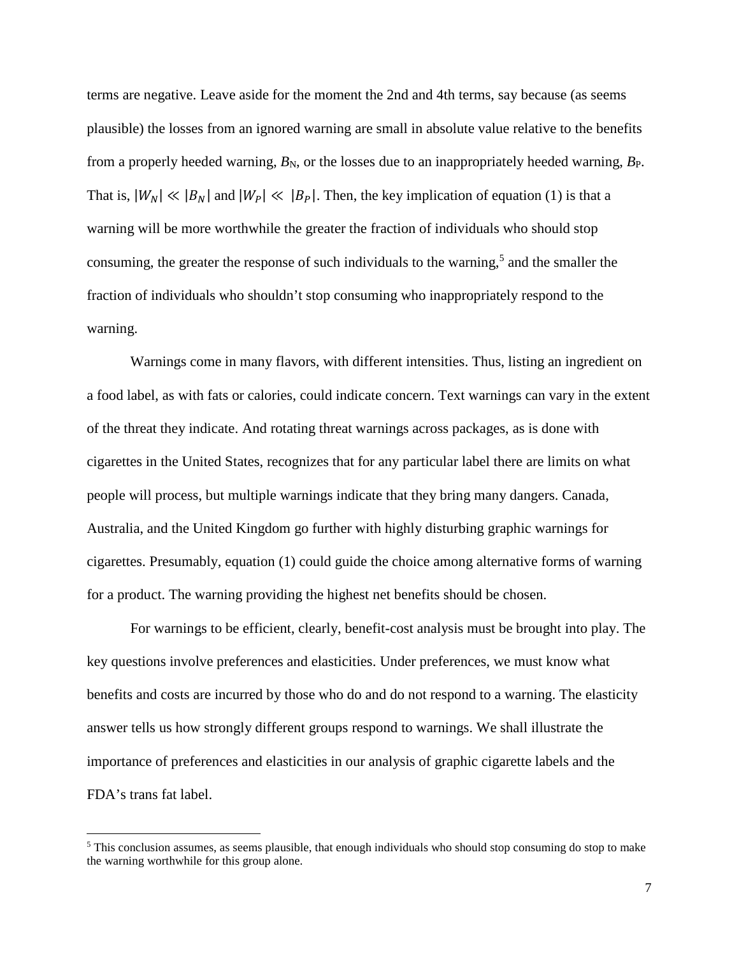terms are negative. Leave aside for the moment the 2nd and 4th terms, say because (as seems plausible) the losses from an ignored warning are small in absolute value relative to the benefits from a properly heeded warning,  $B_N$ , or the losses due to an inappropriately heeded warning,  $B_P$ . That is,  $|W_N| \ll |B_N|$  and  $|W_P| \ll |B_P|$ . Then, the key implication of equation (1) is that a warning will be more worthwhile the greater the fraction of individuals who should stop consuming, the greater the response of such individuals to the warning,<sup>5</sup> and the smaller the fraction of individuals who shouldn't stop consuming who inappropriately respond to the warning.

Warnings come in many flavors, with different intensities. Thus, listing an ingredient on a food label, as with fats or calories, could indicate concern. Text warnings can vary in the extent of the threat they indicate. And rotating threat warnings across packages, as is done with cigarettes in the United States, recognizes that for any particular label there are limits on what people will process, but multiple warnings indicate that they bring many dangers. Canada, Australia, and the United Kingdom go further with highly disturbing graphic warnings for cigarettes. Presumably, equation (1) could guide the choice among alternative forms of warning for a product. The warning providing the highest net benefits should be chosen.

For warnings to be efficient, clearly, benefit-cost analysis must be brought into play. The key questions involve preferences and elasticities. Under preferences, we must know what benefits and costs are incurred by those who do and do not respond to a warning. The elasticity answer tells us how strongly different groups respond to warnings. We shall illustrate the importance of preferences and elasticities in our analysis of graphic cigarette labels and the FDA's trans fat label.

<sup>&</sup>lt;sup>5</sup> This conclusion assumes, as seems plausible, that enough individuals who should stop consuming do stop to make the warning worthwhile for this group alone.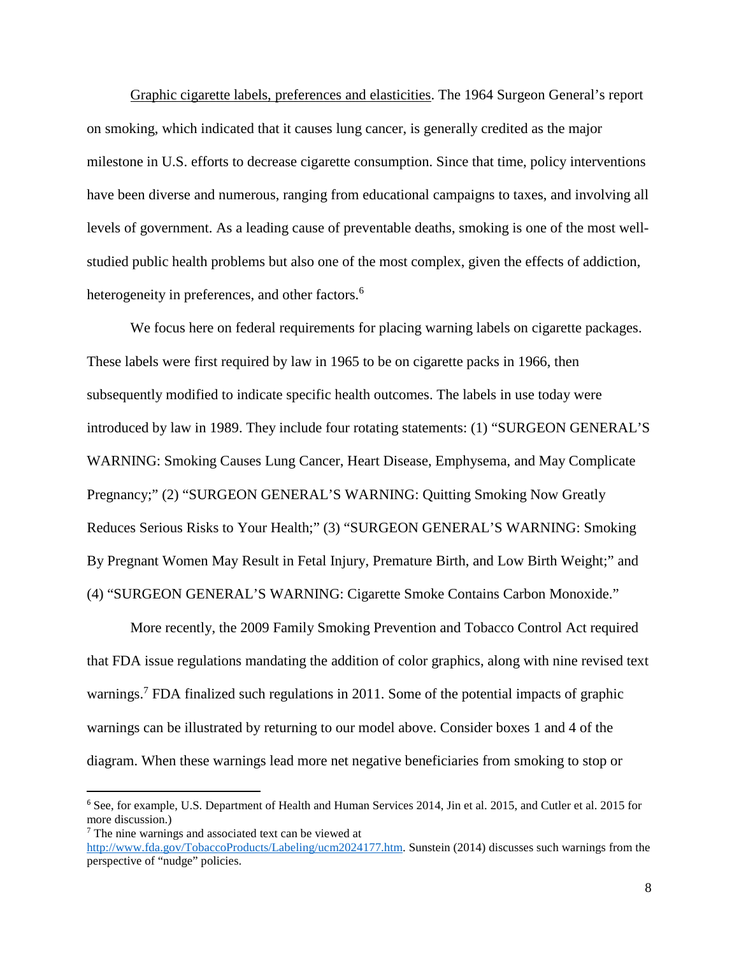Graphic cigarette labels, preferences and elasticities. The 1964 Surgeon General's report on smoking, which indicated that it causes lung cancer, is generally credited as the major milestone in U.S. efforts to decrease cigarette consumption. Since that time, policy interventions have been diverse and numerous, ranging from educational campaigns to taxes, and involving all levels of government. As a leading cause of preventable deaths, smoking is one of the most wellstudied public health problems but also one of the most complex, given the effects of addiction, heterogeneity in preferences, and other factors.<sup>6</sup>

We focus here on federal requirements for placing warning labels on cigarette packages. These labels were first required by law in 1965 to be on cigarette packs in 1966, then subsequently modified to indicate specific health outcomes. The labels in use today were introduced by law in 1989. They include four rotating statements: (1) "SURGEON GENERAL'S WARNING: Smoking Causes Lung Cancer, Heart Disease, Emphysema, and May Complicate Pregnancy;" (2) "SURGEON GENERAL'S WARNING: Quitting Smoking Now Greatly Reduces Serious Risks to Your Health;" (3) "SURGEON GENERAL'S WARNING: Smoking By Pregnant Women May Result in Fetal Injury, Premature Birth, and Low Birth Weight;" and (4) "SURGEON GENERAL'S WARNING: Cigarette Smoke Contains Carbon Monoxide."

More recently, the 2009 Family Smoking Prevention and Tobacco Control Act required that FDA issue regulations mandating the addition of color graphics, along with nine revised text warnings.<sup>7</sup> FDA finalized such regulations in 2011. Some of the potential impacts of graphic warnings can be illustrated by returning to our model above. Consider boxes 1 and 4 of the diagram. When these warnings lead more net negative beneficiaries from smoking to stop or

 <sup>6</sup> See, for example, U.S. Department of Health and Human Services 2014, Jin et al. 2015, and Cutler et al. 2015 for more discussion.)

<sup>7</sup> The nine warnings and associated text can be viewed at [http://www.fda.gov/TobaccoProducts/Labeling/ucm2024177.htm.](http://www.fda.gov/TobaccoProducts/Labeling/ucm2024177.htm) Sunstein (2014) discusses such warnings from the perspective of "nudge" policies.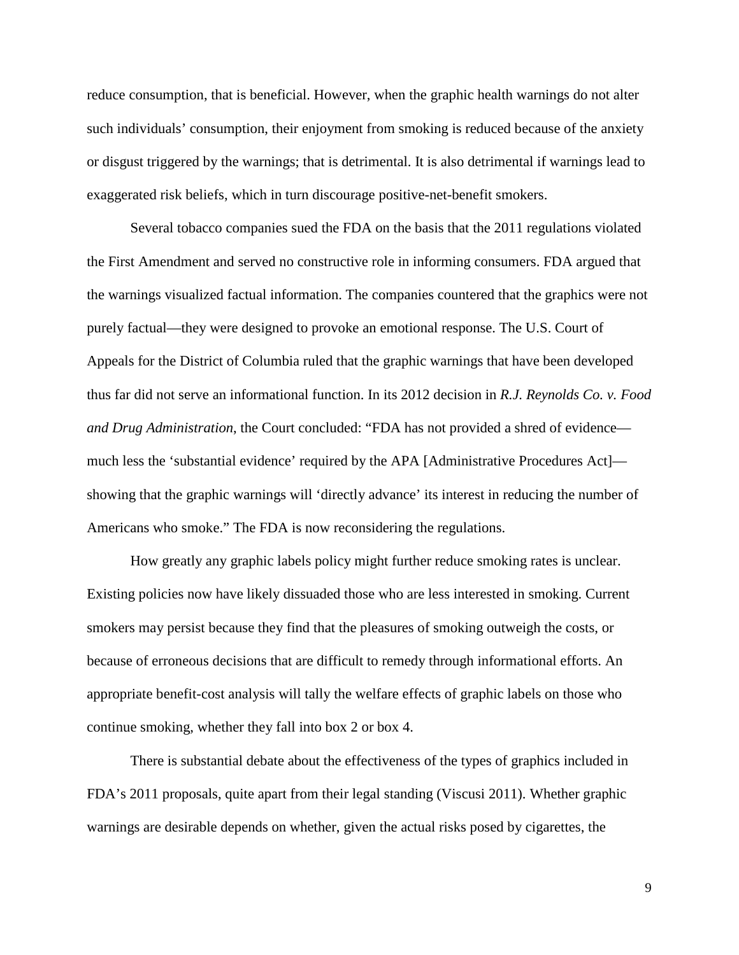reduce consumption, that is beneficial. However, when the graphic health warnings do not alter such individuals' consumption, their enjoyment from smoking is reduced because of the anxiety or disgust triggered by the warnings; that is detrimental. It is also detrimental if warnings lead to exaggerated risk beliefs, which in turn discourage positive-net-benefit smokers.

Several tobacco companies sued the FDA on the basis that the 2011 regulations violated the First Amendment and served no constructive role in informing consumers. FDA argued that the warnings visualized factual information. The companies countered that the graphics were not purely factual—they were designed to provoke an emotional response. The U.S. Court of Appeals for the District of Columbia ruled that the graphic warnings that have been developed thus far did not serve an informational function. In its 2012 decision in *R.J. Reynolds Co. v. Food and Drug Administration*, the Court concluded: "FDA has not provided a shred of evidence much less the 'substantial evidence' required by the APA [Administrative Procedures Act] showing that the graphic warnings will 'directly advance' its interest in reducing the number of Americans who smoke." The FDA is now reconsidering the regulations.

How greatly any graphic labels policy might further reduce smoking rates is unclear. Existing policies now have likely dissuaded those who are less interested in smoking. Current smokers may persist because they find that the pleasures of smoking outweigh the costs, or because of erroneous decisions that are difficult to remedy through informational efforts. An appropriate benefit-cost analysis will tally the welfare effects of graphic labels on those who continue smoking, whether they fall into box 2 or box 4.

There is substantial debate about the effectiveness of the types of graphics included in FDA's 2011 proposals, quite apart from their legal standing (Viscusi 2011). Whether graphic warnings are desirable depends on whether, given the actual risks posed by cigarettes, the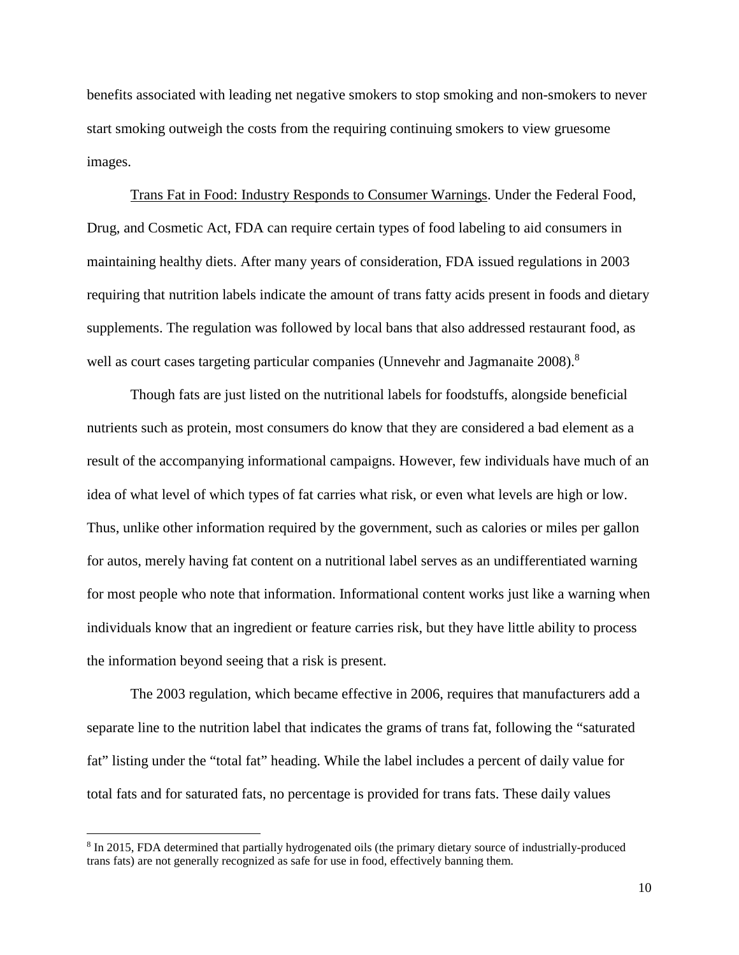benefits associated with leading net negative smokers to stop smoking and non-smokers to never start smoking outweigh the costs from the requiring continuing smokers to view gruesome images.

Trans Fat in Food: Industry Responds to Consumer Warnings. Under the Federal Food, Drug, and Cosmetic Act, FDA can require certain types of food labeling to aid consumers in maintaining healthy diets. After many years of consideration, FDA issued regulations in 2003 requiring that nutrition labels indicate the amount of trans fatty acids present in foods and dietary supplements. The regulation was followed by local bans that also addressed restaurant food, as well as court cases targeting particular companies (Unnevehr and Jagmanaite 2008).<sup>8</sup>

Though fats are just listed on the nutritional labels for foodstuffs, alongside beneficial nutrients such as protein, most consumers do know that they are considered a bad element as a result of the accompanying informational campaigns. However, few individuals have much of an idea of what level of which types of fat carries what risk, or even what levels are high or low. Thus, unlike other information required by the government, such as calories or miles per gallon for autos, merely having fat content on a nutritional label serves as an undifferentiated warning for most people who note that information. Informational content works just like a warning when individuals know that an ingredient or feature carries risk, but they have little ability to process the information beyond seeing that a risk is present.

The 2003 regulation, which became effective in 2006, requires that manufacturers add a separate line to the nutrition label that indicates the grams of trans fat, following the "saturated fat" listing under the "total fat" heading. While the label includes a percent of daily value for total fats and for saturated fats, no percentage is provided for trans fats. These daily values

<sup>8</sup> In 2015, FDA determined that partially hydrogenated oils (the primary dietary source of industrially-produced trans fats) are not generally recognized as safe for use in food, effectively banning them.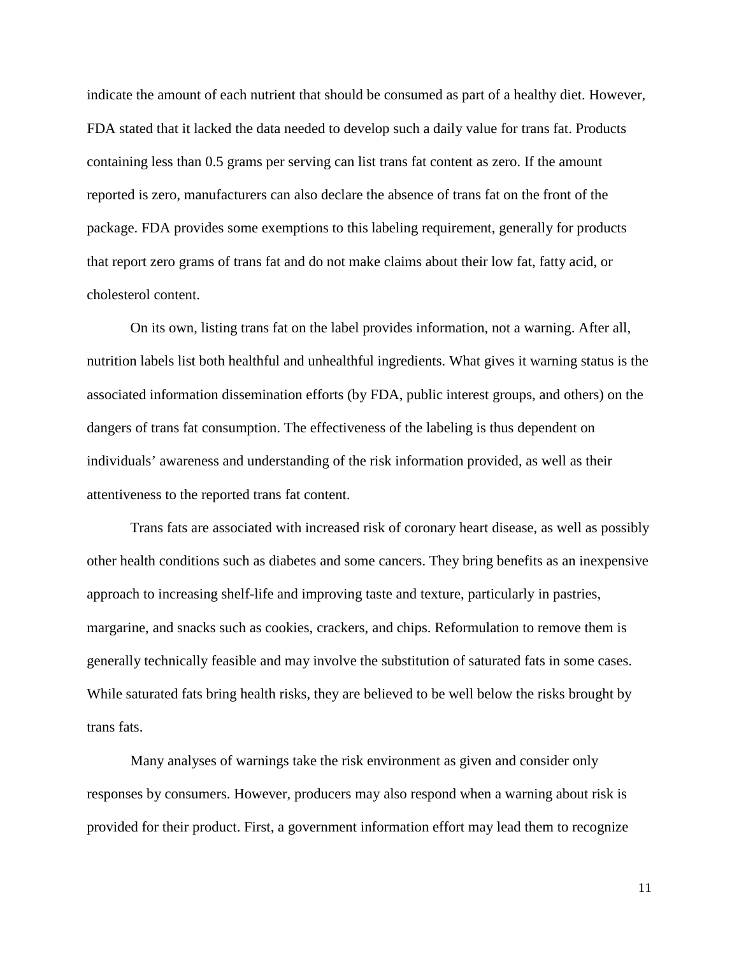indicate the amount of each nutrient that should be consumed as part of a healthy diet. However, FDA stated that it lacked the data needed to develop such a daily value for trans fat. Products containing less than 0.5 grams per serving can list trans fat content as zero. If the amount reported is zero, manufacturers can also declare the absence of trans fat on the front of the package. FDA provides some exemptions to this labeling requirement, generally for products that report zero grams of trans fat and do not make claims about their low fat, fatty acid, or cholesterol content.

On its own, listing trans fat on the label provides information, not a warning. After all, nutrition labels list both healthful and unhealthful ingredients. What gives it warning status is the associated information dissemination efforts (by FDA, public interest groups, and others) on the dangers of trans fat consumption. The effectiveness of the labeling is thus dependent on individuals' awareness and understanding of the risk information provided, as well as their attentiveness to the reported trans fat content.

Trans fats are associated with increased risk of coronary heart disease, as well as possibly other health conditions such as diabetes and some cancers. They bring benefits as an inexpensive approach to increasing shelf-life and improving taste and texture, particularly in pastries, margarine, and snacks such as cookies, crackers, and chips. Reformulation to remove them is generally technically feasible and may involve the substitution of saturated fats in some cases. While saturated fats bring health risks, they are believed to be well below the risks brought by trans fats.

Many analyses of warnings take the risk environment as given and consider only responses by consumers. However, producers may also respond when a warning about risk is provided for their product. First, a government information effort may lead them to recognize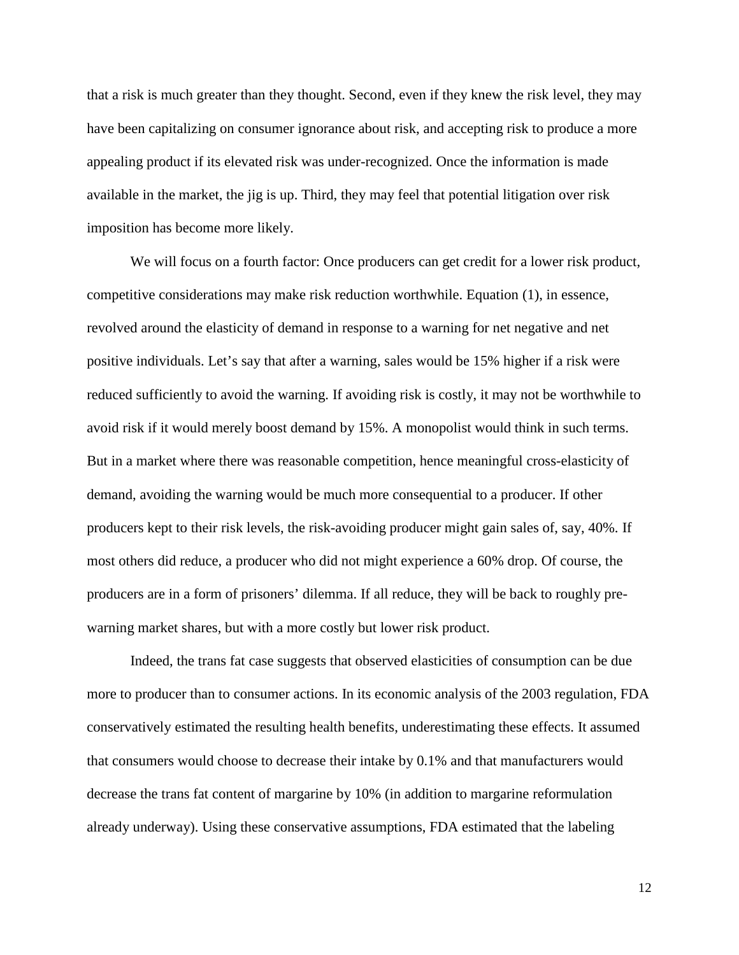that a risk is much greater than they thought. Second, even if they knew the risk level, they may have been capitalizing on consumer ignorance about risk, and accepting risk to produce a more appealing product if its elevated risk was under-recognized. Once the information is made available in the market, the jig is up. Third, they may feel that potential litigation over risk imposition has become more likely.

We will focus on a fourth factor: Once producers can get credit for a lower risk product, competitive considerations may make risk reduction worthwhile. Equation (1), in essence, revolved around the elasticity of demand in response to a warning for net negative and net positive individuals. Let's say that after a warning, sales would be 15% higher if a risk were reduced sufficiently to avoid the warning. If avoiding risk is costly, it may not be worthwhile to avoid risk if it would merely boost demand by 15%. A monopolist would think in such terms. But in a market where there was reasonable competition, hence meaningful cross-elasticity of demand, avoiding the warning would be much more consequential to a producer. If other producers kept to their risk levels, the risk-avoiding producer might gain sales of, say, 40%. If most others did reduce, a producer who did not might experience a 60% drop. Of course, the producers are in a form of prisoners' dilemma. If all reduce, they will be back to roughly prewarning market shares, but with a more costly but lower risk product.

Indeed, the trans fat case suggests that observed elasticities of consumption can be due more to producer than to consumer actions. In its economic analysis of the 2003 regulation, FDA conservatively estimated the resulting health benefits, underestimating these effects. It assumed that consumers would choose to decrease their intake by 0.1% and that manufacturers would decrease the trans fat content of margarine by 10% (in addition to margarine reformulation already underway). Using these conservative assumptions, FDA estimated that the labeling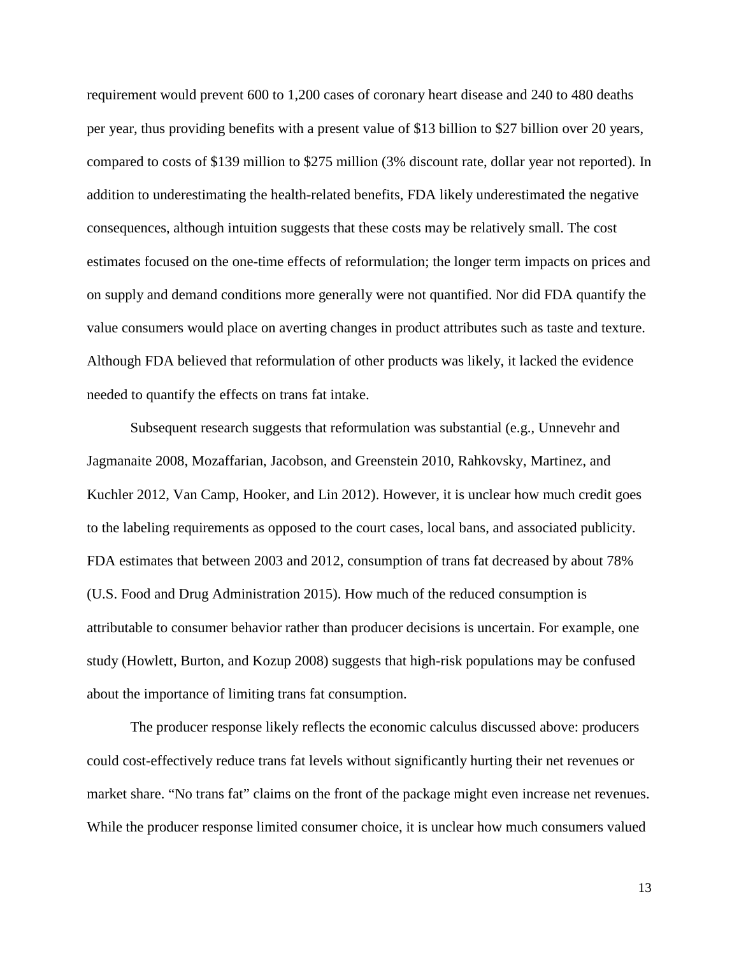requirement would prevent 600 to 1,200 cases of coronary heart disease and 240 to 480 deaths per year, thus providing benefits with a present value of \$13 billion to \$27 billion over 20 years, compared to costs of \$139 million to \$275 million (3% discount rate, dollar year not reported). In addition to underestimating the health-related benefits, FDA likely underestimated the negative consequences, although intuition suggests that these costs may be relatively small. The cost estimates focused on the one-time effects of reformulation; the longer term impacts on prices and on supply and demand conditions more generally were not quantified. Nor did FDA quantify the value consumers would place on averting changes in product attributes such as taste and texture. Although FDA believed that reformulation of other products was likely, it lacked the evidence needed to quantify the effects on trans fat intake.

Subsequent research suggests that reformulation was substantial (e.g., Unnevehr and Jagmanaite 2008, Mozaffarian, Jacobson, and Greenstein 2010, Rahkovsky, Martinez, and Kuchler 2012, Van Camp, Hooker, and Lin 2012). However, it is unclear how much credit goes to the labeling requirements as opposed to the court cases, local bans, and associated publicity. FDA estimates that between 2003 and 2012, consumption of trans fat decreased by about 78% (U.S. Food and Drug Administration 2015). How much of the reduced consumption is attributable to consumer behavior rather than producer decisions is uncertain. For example, one study (Howlett, Burton, and Kozup 2008) suggests that high-risk populations may be confused about the importance of limiting trans fat consumption.

The producer response likely reflects the economic calculus discussed above: producers could cost-effectively reduce trans fat levels without significantly hurting their net revenues or market share. "No trans fat" claims on the front of the package might even increase net revenues. While the producer response limited consumer choice, it is unclear how much consumers valued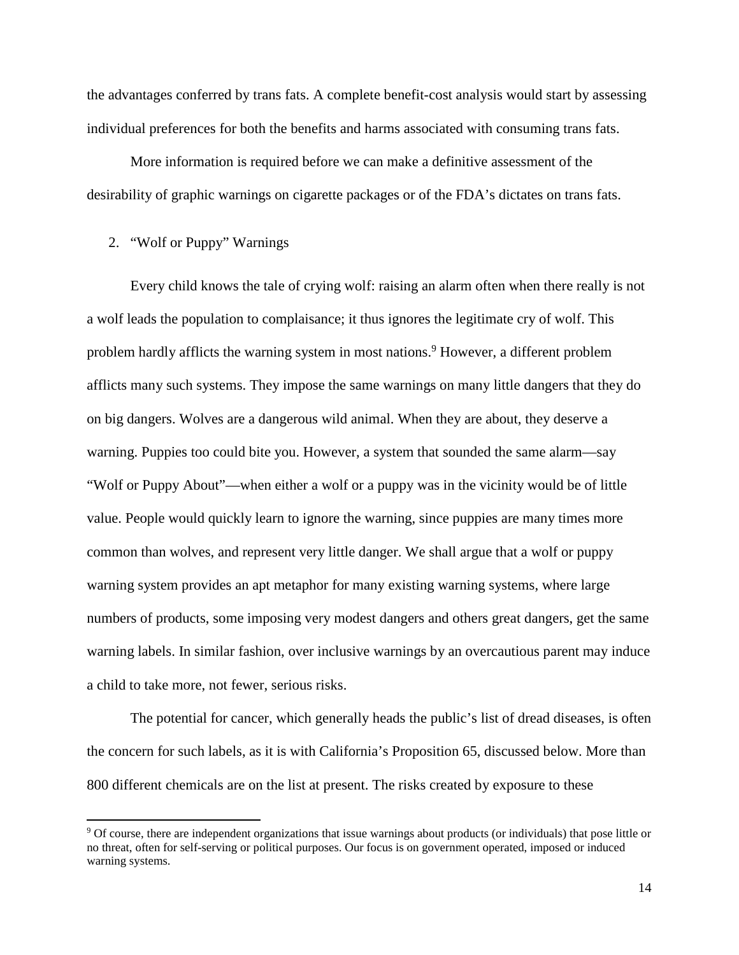the advantages conferred by trans fats. A complete benefit-cost analysis would start by assessing individual preferences for both the benefits and harms associated with consuming trans fats.

More information is required before we can make a definitive assessment of the desirability of graphic warnings on cigarette packages or of the FDA's dictates on trans fats.

## 2. "Wolf or Puppy" Warnings

 $\overline{\phantom{a}}$ 

Every child knows the tale of crying wolf: raising an alarm often when there really is not a wolf leads the population to complaisance; it thus ignores the legitimate cry of wolf. This problem hardly afflicts the warning system in most nations.<sup>9</sup> However, a different problem afflicts many such systems. They impose the same warnings on many little dangers that they do on big dangers. Wolves are a dangerous wild animal. When they are about, they deserve a warning. Puppies too could bite you. However, a system that sounded the same alarm—say "Wolf or Puppy About"—when either a wolf or a puppy was in the vicinity would be of little value. People would quickly learn to ignore the warning, since puppies are many times more common than wolves, and represent very little danger. We shall argue that a wolf or puppy warning system provides an apt metaphor for many existing warning systems, where large numbers of products, some imposing very modest dangers and others great dangers, get the same warning labels. In similar fashion, over inclusive warnings by an overcautious parent may induce a child to take more, not fewer, serious risks.

The potential for cancer, which generally heads the public's list of dread diseases, is often the concern for such labels, as it is with California's Proposition 65, discussed below. More than 800 different chemicals are on the list at present. The risks created by exposure to these

<sup>9</sup> Of course, there are independent organizations that issue warnings about products (or individuals) that pose little or no threat, often for self-serving or political purposes. Our focus is on government operated, imposed or induced warning systems.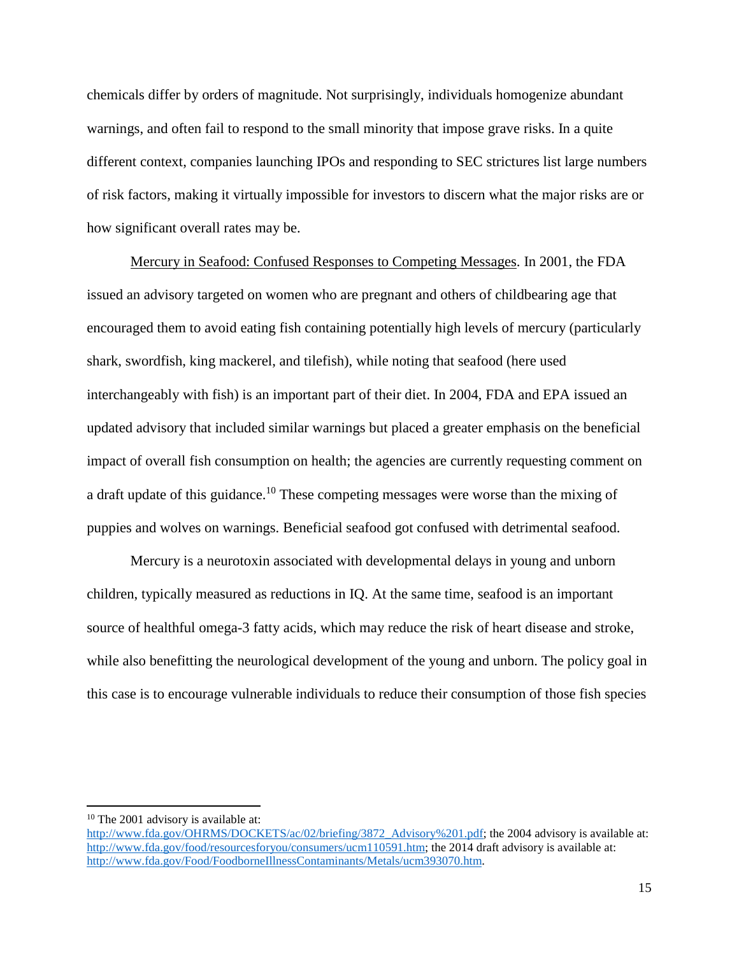chemicals differ by orders of magnitude. Not surprisingly, individuals homogenize abundant warnings, and often fail to respond to the small minority that impose grave risks. In a quite different context, companies launching IPOs and responding to SEC strictures list large numbers of risk factors, making it virtually impossible for investors to discern what the major risks are or how significant overall rates may be.

Mercury in Seafood: Confused Responses to Competing Messages. In 2001, the FDA issued an advisory targeted on women who are pregnant and others of childbearing age that encouraged them to avoid eating fish containing potentially high levels of mercury (particularly shark, swordfish, king mackerel, and tilefish), while noting that seafood (here used interchangeably with fish) is an important part of their diet. In 2004, FDA and EPA issued an updated advisory that included similar warnings but placed a greater emphasis on the beneficial impact of overall fish consumption on health; the agencies are currently requesting comment on a draft update of this guidance.<sup>10</sup> These competing messages were worse than the mixing of puppies and wolves on warnings. Beneficial seafood got confused with detrimental seafood.

Mercury is a neurotoxin associated with developmental delays in young and unborn children, typically measured as reductions in IQ. At the same time, seafood is an important source of healthful omega-3 fatty acids, which may reduce the risk of heart disease and stroke, while also benefitting the neurological development of the young and unborn. The policy goal in this case is to encourage vulnerable individuals to reduce their consumption of those fish species

<sup>10</sup> The 2001 advisory is available at:

[http://www.fda.gov/OHRMS/DOCKETS/ac/02/briefing/3872\\_Advisory%201.pdf;](http://www.fda.gov/OHRMS/DOCKETS/ac/02/briefing/3872_Advisory%201.pdf) the 2004 advisory is available at: [http://www.fda.gov/food/resourcesforyou/consumers/ucm110591.htm;](http://www.fda.gov/food/resourcesforyou/consumers/ucm110591.htm) the 2014 draft advisory is available at: [http://www.fda.gov/Food/FoodborneIllnessContaminants/Metals/ucm393070.htm.](http://www.fda.gov/Food/FoodborneIllnessContaminants/Metals/ucm393070.htm)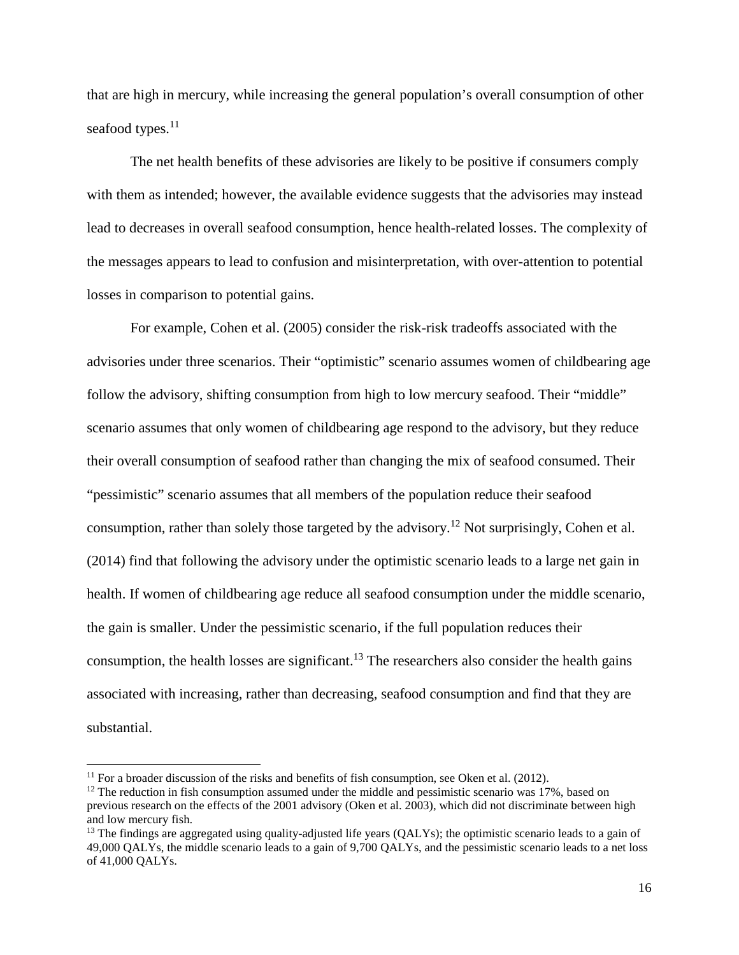that are high in mercury, while increasing the general population's overall consumption of other seafood types.<sup>11</sup>

The net health benefits of these advisories are likely to be positive if consumers comply with them as intended; however, the available evidence suggests that the advisories may instead lead to decreases in overall seafood consumption, hence health-related losses. The complexity of the messages appears to lead to confusion and misinterpretation, with over-attention to potential losses in comparison to potential gains.

For example, Cohen et al. (2005) consider the risk-risk tradeoffs associated with the advisories under three scenarios. Their "optimistic" scenario assumes women of childbearing age follow the advisory, shifting consumption from high to low mercury seafood. Their "middle" scenario assumes that only women of childbearing age respond to the advisory, but they reduce their overall consumption of seafood rather than changing the mix of seafood consumed. Their "pessimistic" scenario assumes that all members of the population reduce their seafood consumption, rather than solely those targeted by the advisory.<sup>12</sup> Not surprisingly, Cohen et al. (2014) find that following the advisory under the optimistic scenario leads to a large net gain in health. If women of childbearing age reduce all seafood consumption under the middle scenario, the gain is smaller. Under the pessimistic scenario, if the full population reduces their consumption, the health losses are significant.<sup>13</sup> The researchers also consider the health gains associated with increasing, rather than decreasing, seafood consumption and find that they are substantial.

 $11$  For a broader discussion of the risks and benefits of fish consumption, see Oken et al. (2012).

 $12$  The reduction in fish consumption assumed under the middle and pessimistic scenario was 17%, based on previous research on the effects of the 2001 advisory (Oken et al. 2003), which did not discriminate between high and low mercury fish.

 $<sup>13</sup>$  The findings are aggregated using quality-adjusted life years (QALYs); the optimistic scenario leads to a gain of</sup> 49,000 QALYs, the middle scenario leads to a gain of 9,700 QALYs, and the pessimistic scenario leads to a net loss of 41,000 QALYs.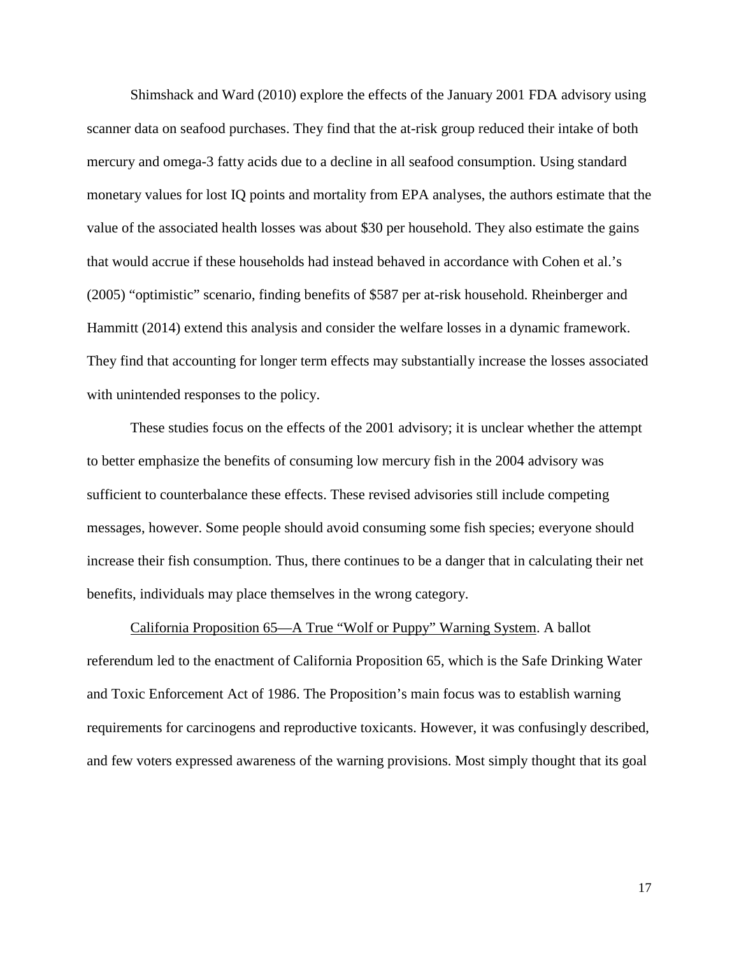Shimshack and Ward (2010) explore the effects of the January 2001 FDA advisory using scanner data on seafood purchases. They find that the at-risk group reduced their intake of both mercury and omega-3 fatty acids due to a decline in all seafood consumption. Using standard monetary values for lost IQ points and mortality from EPA analyses, the authors estimate that the value of the associated health losses was about \$30 per household. They also estimate the gains that would accrue if these households had instead behaved in accordance with Cohen et al.'s (2005) "optimistic" scenario, finding benefits of \$587 per at-risk household. Rheinberger and Hammitt (2014) extend this analysis and consider the welfare losses in a dynamic framework. They find that accounting for longer term effects may substantially increase the losses associated with unintended responses to the policy.

These studies focus on the effects of the 2001 advisory; it is unclear whether the attempt to better emphasize the benefits of consuming low mercury fish in the 2004 advisory was sufficient to counterbalance these effects. These revised advisories still include competing messages, however. Some people should avoid consuming some fish species; everyone should increase their fish consumption. Thus, there continues to be a danger that in calculating their net benefits, individuals may place themselves in the wrong category.

California Proposition 65—A True "Wolf or Puppy" Warning System. A ballot referendum led to the enactment of California Proposition 65, which is the Safe Drinking Water and Toxic Enforcement Act of 1986. The Proposition's main focus was to establish warning requirements for carcinogens and reproductive toxicants. However, it was confusingly described, and few voters expressed awareness of the warning provisions. Most simply thought that its goal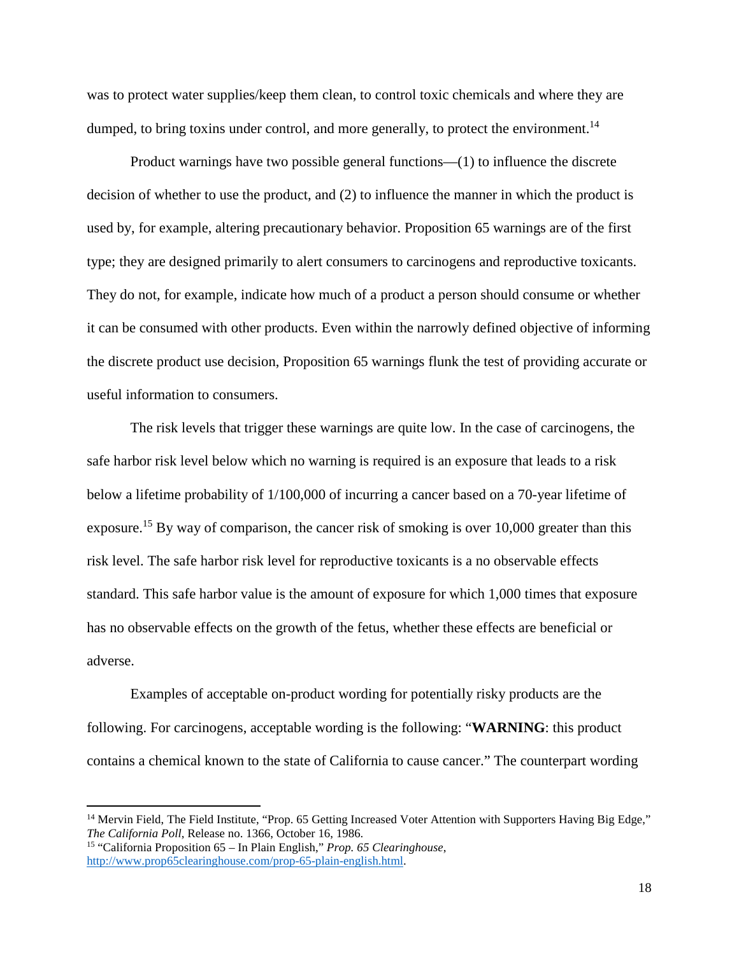was to protect water supplies/keep them clean, to control toxic chemicals and where they are dumped, to bring toxins under control, and more generally, to protect the environment.<sup>14</sup>

Product warnings have two possible general functions—(1) to influence the discrete decision of whether to use the product, and (2) to influence the manner in which the product is used by, for example, altering precautionary behavior. Proposition 65 warnings are of the first type; they are designed primarily to alert consumers to carcinogens and reproductive toxicants. They do not, for example, indicate how much of a product a person should consume or whether it can be consumed with other products. Even within the narrowly defined objective of informing the discrete product use decision, Proposition 65 warnings flunk the test of providing accurate or useful information to consumers.

The risk levels that trigger these warnings are quite low. In the case of carcinogens, the safe harbor risk level below which no warning is required is an exposure that leads to a risk below a lifetime probability of 1/100,000 of incurring a cancer based on a 70-year lifetime of exposure.<sup>15</sup> By way of comparison, the cancer risk of smoking is over 10,000 greater than this risk level. The safe harbor risk level for reproductive toxicants is a no observable effects standard. This safe harbor value is the amount of exposure for which 1,000 times that exposure has no observable effects on the growth of the fetus, whether these effects are beneficial or adverse.

Examples of acceptable on-product wording for potentially risky products are the following. For carcinogens, acceptable wording is the following: "**WARNING**: this product contains a chemical known to the state of California to cause cancer." The counterpart wording

<sup>&</sup>lt;sup>14</sup> Mervin Field, The Field Institute, "Prop. 65 Getting Increased Voter Attention with Supporters Having Big Edge," *The California Poll*, Release no. 1366, October 16, 1986. <sup>15</sup> "California Proposition 65 – In Plain English," *Prop. 65 Clearinghouse*,

[http://www.prop65clearinghouse.com/prop-65-plain-english.html.](http://www.prop65clearinghouse.com/prop-65-plain-english.html)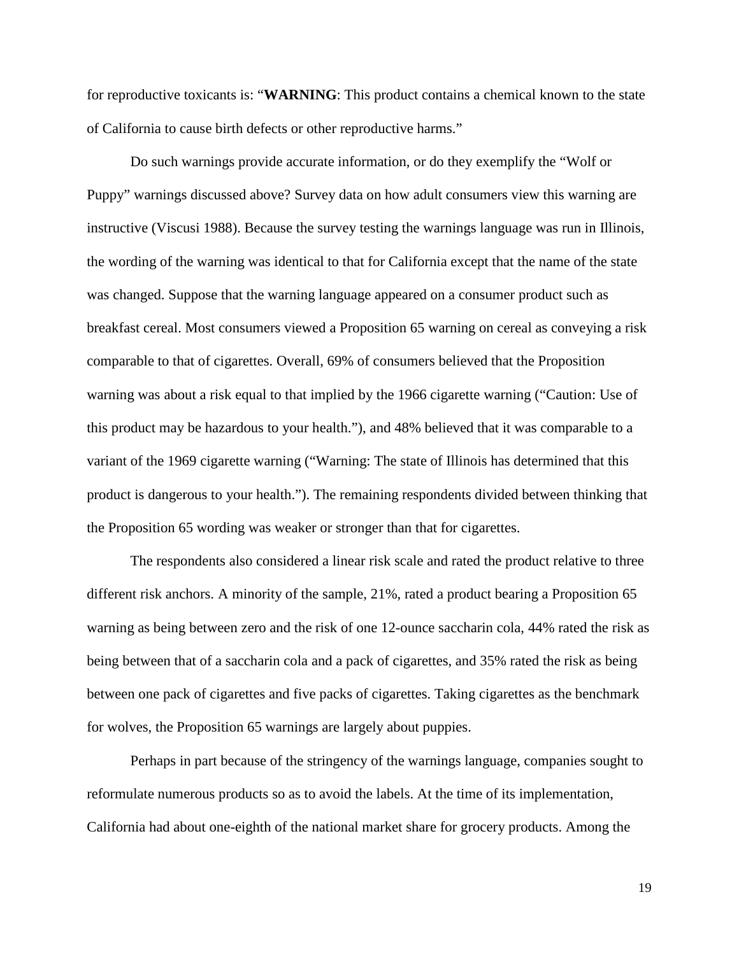for reproductive toxicants is: "**WARNING**: This product contains a chemical known to the state of California to cause birth defects or other reproductive harms."

Do such warnings provide accurate information, or do they exemplify the "Wolf or Puppy" warnings discussed above? Survey data on how adult consumers view this warning are instructive (Viscusi 1988). Because the survey testing the warnings language was run in Illinois, the wording of the warning was identical to that for California except that the name of the state was changed. Suppose that the warning language appeared on a consumer product such as breakfast cereal. Most consumers viewed a Proposition 65 warning on cereal as conveying a risk comparable to that of cigarettes. Overall, 69% of consumers believed that the Proposition warning was about a risk equal to that implied by the 1966 cigarette warning ("Caution: Use of this product may be hazardous to your health."), and 48% believed that it was comparable to a variant of the 1969 cigarette warning ("Warning: The state of Illinois has determined that this product is dangerous to your health."). The remaining respondents divided between thinking that the Proposition 65 wording was weaker or stronger than that for cigarettes.

The respondents also considered a linear risk scale and rated the product relative to three different risk anchors. A minority of the sample, 21%, rated a product bearing a Proposition 65 warning as being between zero and the risk of one 12-ounce saccharin cola, 44% rated the risk as being between that of a saccharin cola and a pack of cigarettes, and 35% rated the risk as being between one pack of cigarettes and five packs of cigarettes. Taking cigarettes as the benchmark for wolves, the Proposition 65 warnings are largely about puppies.

Perhaps in part because of the stringency of the warnings language, companies sought to reformulate numerous products so as to avoid the labels. At the time of its implementation, California had about one-eighth of the national market share for grocery products. Among the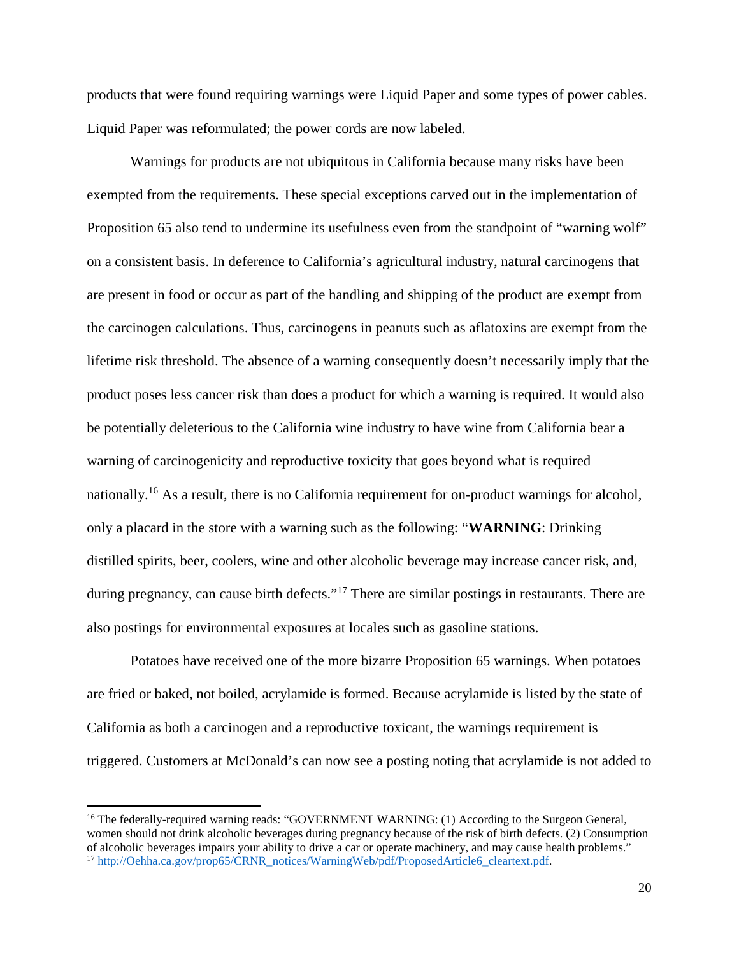products that were found requiring warnings were Liquid Paper and some types of power cables. Liquid Paper was reformulated; the power cords are now labeled.

Warnings for products are not ubiquitous in California because many risks have been exempted from the requirements. These special exceptions carved out in the implementation of Proposition 65 also tend to undermine its usefulness even from the standpoint of "warning wolf" on a consistent basis. In deference to California's agricultural industry, natural carcinogens that are present in food or occur as part of the handling and shipping of the product are exempt from the carcinogen calculations. Thus, carcinogens in peanuts such as aflatoxins are exempt from the lifetime risk threshold. The absence of a warning consequently doesn't necessarily imply that the product poses less cancer risk than does a product for which a warning is required. It would also be potentially deleterious to the California wine industry to have wine from California bear a warning of carcinogenicity and reproductive toxicity that goes beyond what is required nationally.<sup>16</sup> As a result, there is no California requirement for on-product warnings for alcohol, only a placard in the store with a warning such as the following: "**WARNING**: Drinking distilled spirits, beer, coolers, wine and other alcoholic beverage may increase cancer risk, and, during pregnancy, can cause birth defects."<sup>17</sup> There are similar postings in restaurants. There are also postings for environmental exposures at locales such as gasoline stations.

Potatoes have received one of the more bizarre Proposition 65 warnings. When potatoes are fried or baked, not boiled, acrylamide is formed. Because acrylamide is listed by the state of California as both a carcinogen and a reproductive toxicant, the warnings requirement is triggered. Customers at McDonald's can now see a posting noting that acrylamide is not added to

<sup>&</sup>lt;sup>16</sup> The federally-required warning reads: "GOVERNMENT WARNING: (1) According to the Surgeon General, women should not drink alcoholic beverages during pregnancy because of the risk of birth defects. (2) Consumption of alcoholic beverages impairs your ability to drive a car or operate machinery, and may cause health problems." <sup>17</sup> [http://Oehha.ca.gov/prop65/CRNR\\_notices/WarningWeb/pdf/ProposedArticle6\\_cleartext.pdf.](http://oehha.ca.gov/prop65/CRNR_notices/WarningWeb/pdf/ProposedArticle6_cleartext.pdf)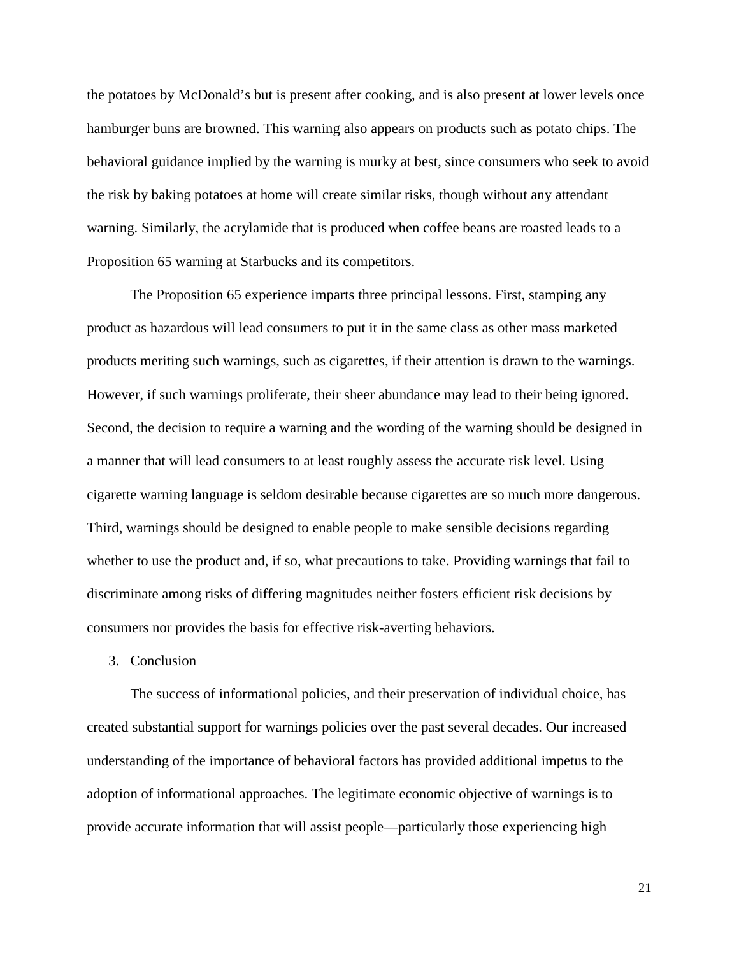the potatoes by McDonald's but is present after cooking, and is also present at lower levels once hamburger buns are browned. This warning also appears on products such as potato chips. The behavioral guidance implied by the warning is murky at best, since consumers who seek to avoid the risk by baking potatoes at home will create similar risks, though without any attendant warning. Similarly, the acrylamide that is produced when coffee beans are roasted leads to a Proposition 65 warning at Starbucks and its competitors.

The Proposition 65 experience imparts three principal lessons. First, stamping any product as hazardous will lead consumers to put it in the same class as other mass marketed products meriting such warnings, such as cigarettes, if their attention is drawn to the warnings. However, if such warnings proliferate, their sheer abundance may lead to their being ignored. Second, the decision to require a warning and the wording of the warning should be designed in a manner that will lead consumers to at least roughly assess the accurate risk level. Using cigarette warning language is seldom desirable because cigarettes are so much more dangerous. Third, warnings should be designed to enable people to make sensible decisions regarding whether to use the product and, if so, what precautions to take. Providing warnings that fail to discriminate among risks of differing magnitudes neither fosters efficient risk decisions by consumers nor provides the basis for effective risk-averting behaviors.

3. Conclusion

The success of informational policies, and their preservation of individual choice, has created substantial support for warnings policies over the past several decades. Our increased understanding of the importance of behavioral factors has provided additional impetus to the adoption of informational approaches. The legitimate economic objective of warnings is to provide accurate information that will assist people—particularly those experiencing high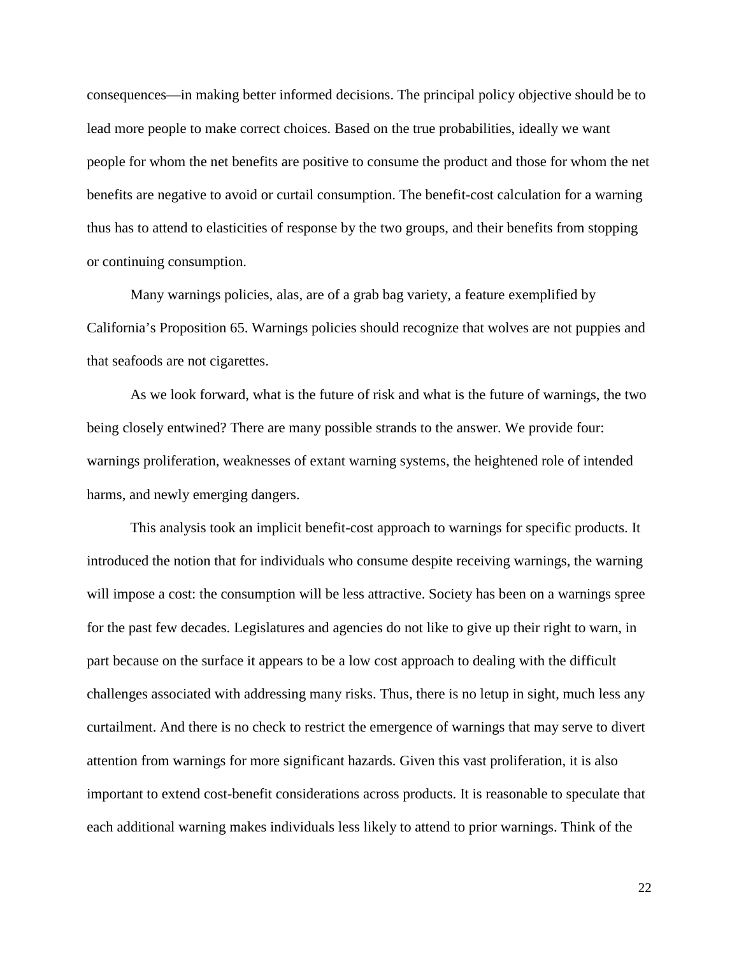consequences—in making better informed decisions. The principal policy objective should be to lead more people to make correct choices. Based on the true probabilities, ideally we want people for whom the net benefits are positive to consume the product and those for whom the net benefits are negative to avoid or curtail consumption. The benefit-cost calculation for a warning thus has to attend to elasticities of response by the two groups, and their benefits from stopping or continuing consumption.

Many warnings policies, alas, are of a grab bag variety, a feature exemplified by California's Proposition 65. Warnings policies should recognize that wolves are not puppies and that seafoods are not cigarettes.

As we look forward, what is the future of risk and what is the future of warnings, the two being closely entwined? There are many possible strands to the answer. We provide four: warnings proliferation, weaknesses of extant warning systems, the heightened role of intended harms, and newly emerging dangers.

This analysis took an implicit benefit-cost approach to warnings for specific products. It introduced the notion that for individuals who consume despite receiving warnings, the warning will impose a cost: the consumption will be less attractive. Society has been on a warnings spree for the past few decades. Legislatures and agencies do not like to give up their right to warn, in part because on the surface it appears to be a low cost approach to dealing with the difficult challenges associated with addressing many risks. Thus, there is no letup in sight, much less any curtailment. And there is no check to restrict the emergence of warnings that may serve to divert attention from warnings for more significant hazards. Given this vast proliferation, it is also important to extend cost-benefit considerations across products. It is reasonable to speculate that each additional warning makes individuals less likely to attend to prior warnings. Think of the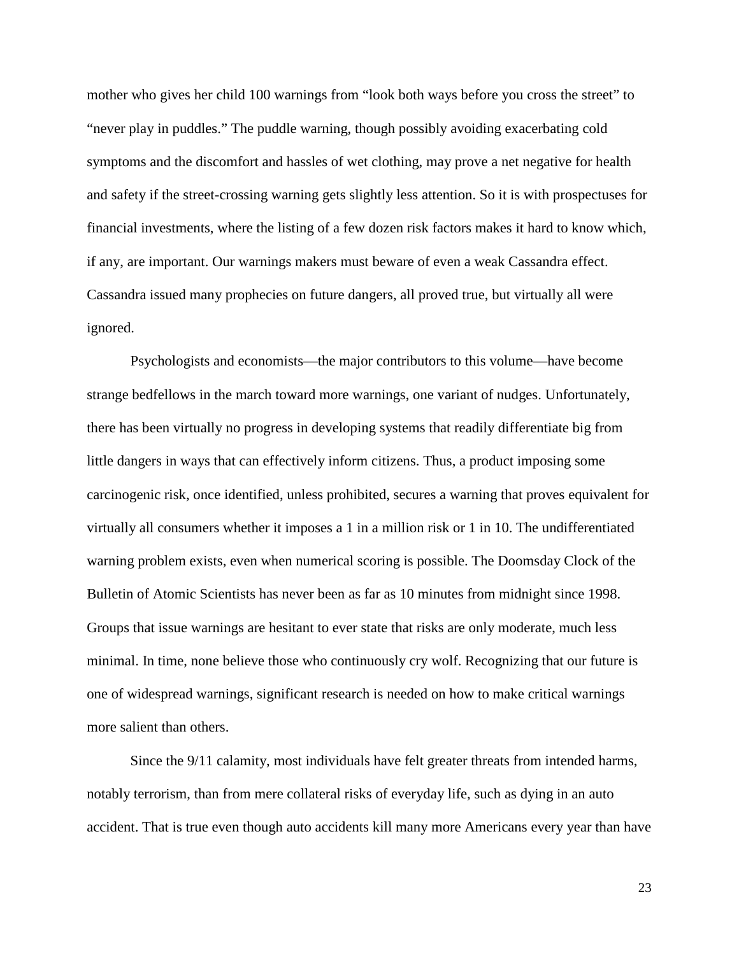mother who gives her child 100 warnings from "look both ways before you cross the street" to "never play in puddles." The puddle warning, though possibly avoiding exacerbating cold symptoms and the discomfort and hassles of wet clothing, may prove a net negative for health and safety if the street-crossing warning gets slightly less attention. So it is with prospectuses for financial investments, where the listing of a few dozen risk factors makes it hard to know which, if any, are important. Our warnings makers must beware of even a weak Cassandra effect. Cassandra issued many prophecies on future dangers, all proved true, but virtually all were ignored.

Psychologists and economists—the major contributors to this volume—have become strange bedfellows in the march toward more warnings, one variant of nudges. Unfortunately, there has been virtually no progress in developing systems that readily differentiate big from little dangers in ways that can effectively inform citizens. Thus, a product imposing some carcinogenic risk, once identified, unless prohibited, secures a warning that proves equivalent for virtually all consumers whether it imposes a 1 in a million risk or 1 in 10. The undifferentiated warning problem exists, even when numerical scoring is possible. The Doomsday Clock of the Bulletin of Atomic Scientists has never been as far as 10 minutes from midnight since 1998. Groups that issue warnings are hesitant to ever state that risks are only moderate, much less minimal. In time, none believe those who continuously cry wolf. Recognizing that our future is one of widespread warnings, significant research is needed on how to make critical warnings more salient than others.

Since the 9/11 calamity, most individuals have felt greater threats from intended harms, notably terrorism, than from mere collateral risks of everyday life, such as dying in an auto accident. That is true even though auto accidents kill many more Americans every year than have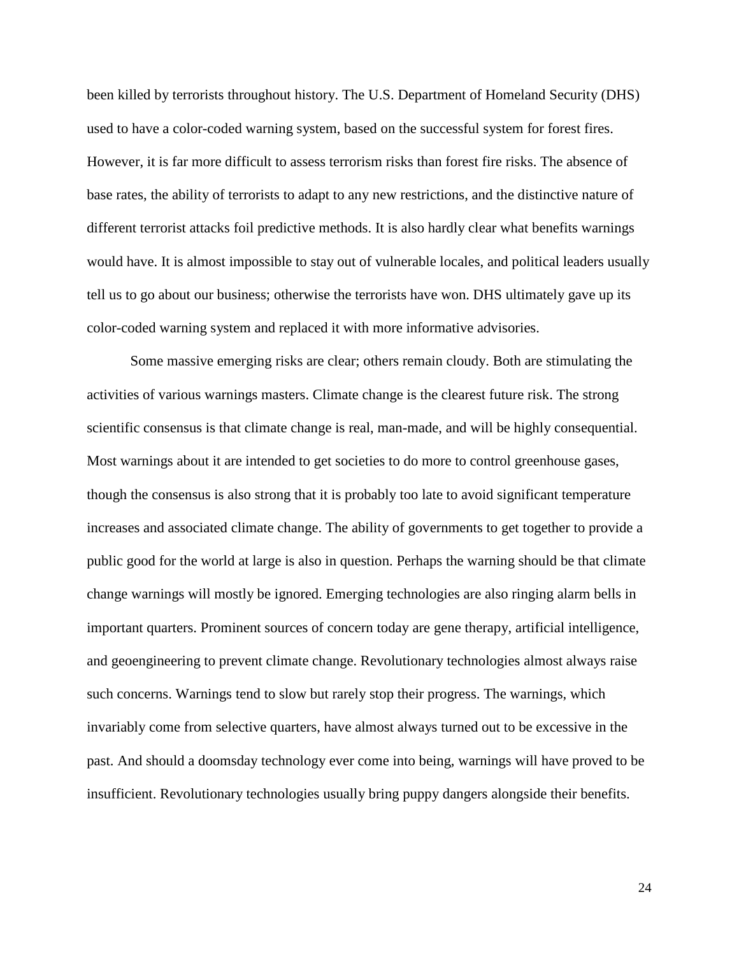been killed by terrorists throughout history. The U.S. Department of Homeland Security (DHS) used to have a color-coded warning system, based on the successful system for forest fires. However, it is far more difficult to assess terrorism risks than forest fire risks. The absence of base rates, the ability of terrorists to adapt to any new restrictions, and the distinctive nature of different terrorist attacks foil predictive methods. It is also hardly clear what benefits warnings would have. It is almost impossible to stay out of vulnerable locales, and political leaders usually tell us to go about our business; otherwise the terrorists have won. DHS ultimately gave up its color-coded warning system and replaced it with more informative advisories.

Some massive emerging risks are clear; others remain cloudy. Both are stimulating the activities of various warnings masters. Climate change is the clearest future risk. The strong scientific consensus is that climate change is real, man-made, and will be highly consequential. Most warnings about it are intended to get societies to do more to control greenhouse gases, though the consensus is also strong that it is probably too late to avoid significant temperature increases and associated climate change. The ability of governments to get together to provide a public good for the world at large is also in question. Perhaps the warning should be that climate change warnings will mostly be ignored. Emerging technologies are also ringing alarm bells in important quarters. Prominent sources of concern today are gene therapy, artificial intelligence, and geoengineering to prevent climate change. Revolutionary technologies almost always raise such concerns. Warnings tend to slow but rarely stop their progress. The warnings, which invariably come from selective quarters, have almost always turned out to be excessive in the past. And should a doomsday technology ever come into being, warnings will have proved to be insufficient. Revolutionary technologies usually bring puppy dangers alongside their benefits.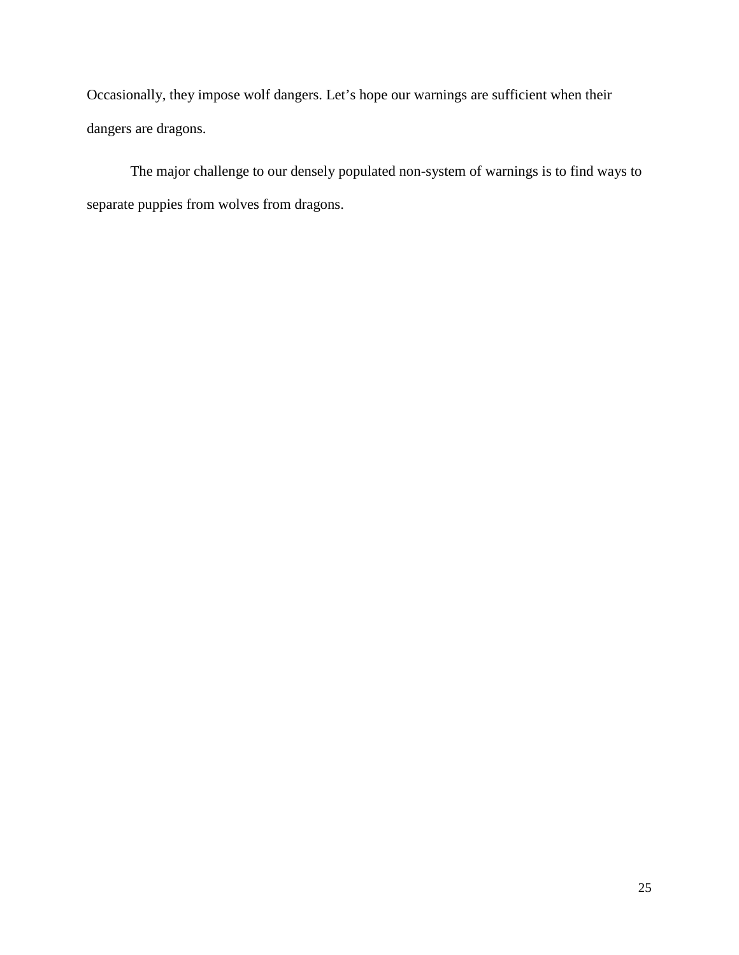Occasionally, they impose wolf dangers. Let's hope our warnings are sufficient when their dangers are dragons.

The major challenge to our densely populated non-system of warnings is to find ways to separate puppies from wolves from dragons.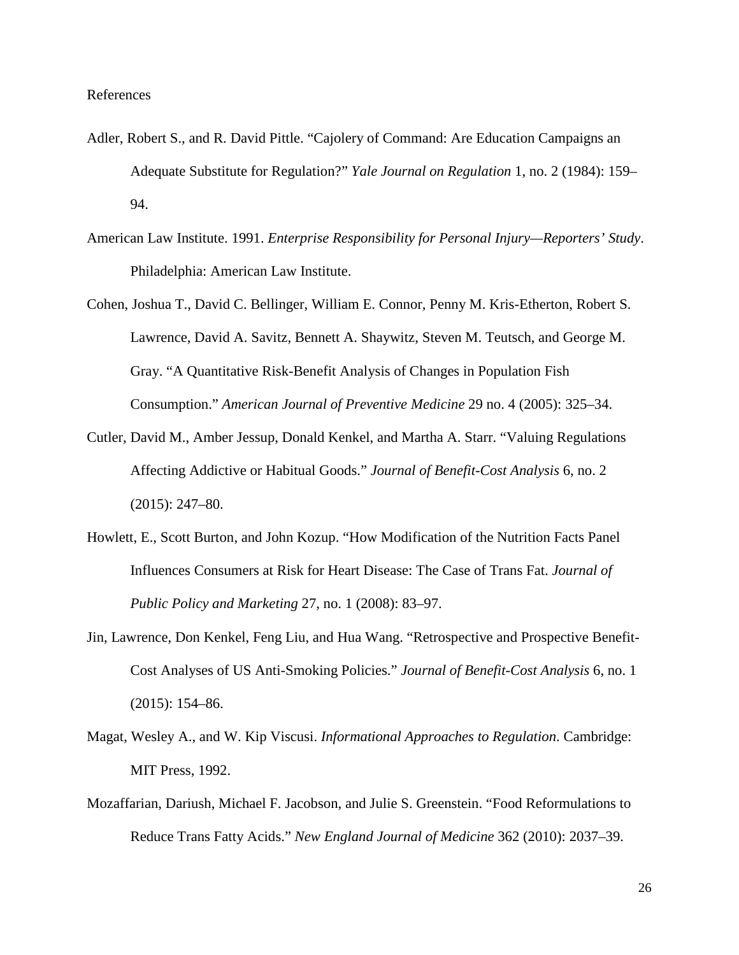- Adler, Robert S., and R. David Pittle. "Cajolery of Command: Are Education Campaigns an Adequate Substitute for Regulation?" *Yale Journal on Regulation* 1, no. 2 (1984): 159– 94.
- American Law Institute. 1991. *Enterprise Responsibility for Personal Injury—Reporters' Study*. Philadelphia: American Law Institute.
- Cohen, Joshua T., David C. Bellinger, William E. Connor, Penny M. Kris-Etherton, Robert S. Lawrence, David A. Savitz, Bennett A. Shaywitz, Steven M. Teutsch, and George M. Gray. "A Quantitative Risk-Benefit Analysis of Changes in Population Fish Consumption." *American Journal of Preventive Medicine* 29 no. 4 (2005): 325–34.
- Cutler, David M., Amber Jessup, Donald Kenkel, and Martha A. Starr. "Valuing Regulations Affecting Addictive or Habitual Goods." *Journal of Benefit-Cost Analysis* 6, no. 2 (2015): 247–80.
- Howlett, E., Scott Burton, and John Kozup. "How Modification of the Nutrition Facts Panel Influences Consumers at Risk for Heart Disease: The Case of Trans Fat. *Journal of Public Policy and Marketing* 27, no. 1 (2008): 83–97.
- Jin, Lawrence, Don Kenkel, Feng Liu, and Hua Wang. "Retrospective and Prospective Benefit-Cost Analyses of US Anti-Smoking Policies." *Journal of Benefit-Cost Analysis* 6, no. 1 (2015): 154–86.
- Magat, Wesley A., and W. Kip Viscusi. *Informational Approaches to Regulation*. Cambridge: MIT Press, 1992.
- Mozaffarian, Dariush, Michael F. Jacobson, and Julie S. Greenstein. "Food Reformulations to Reduce Trans Fatty Acids." *New England Journal of Medicine* 362 (2010): 2037–39.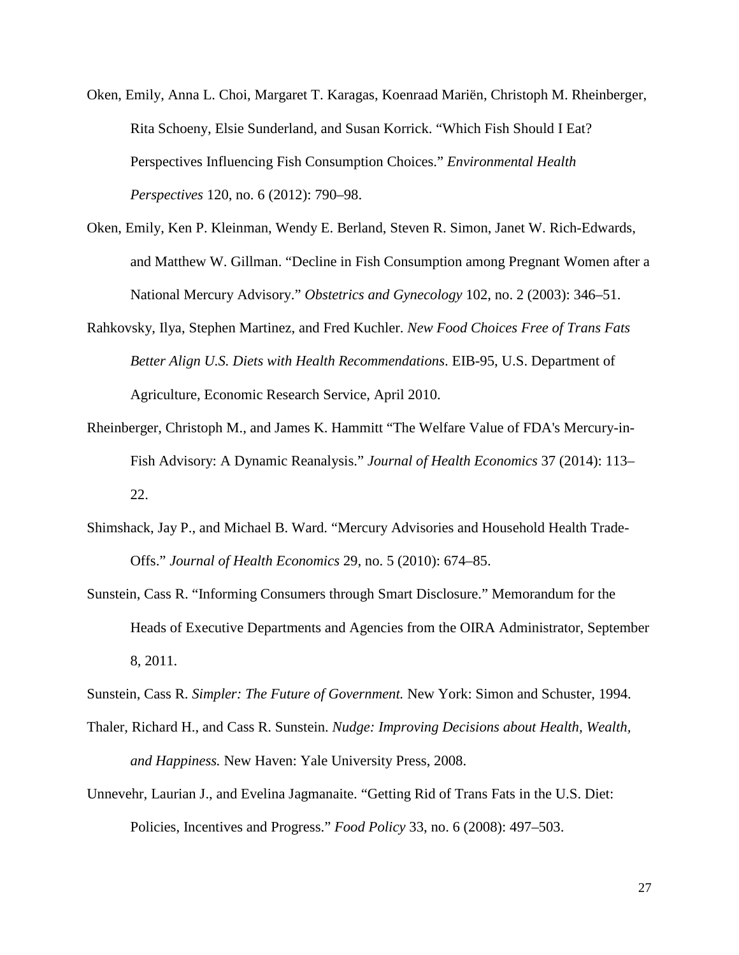- Oken, Emily, Anna L. Choi, Margaret T. Karagas, Koenraad Mariën, Christoph M. Rheinberger, Rita Schoeny, Elsie Sunderland, and Susan Korrick. "Which Fish Should I Eat? Perspectives Influencing Fish Consumption Choices." *Environmental Health Perspectives* 120, no. 6 (2012): 790–98.
- Oken, Emily, Ken P. Kleinman, Wendy E. Berland, Steven R. Simon, Janet W. Rich-Edwards, and Matthew W. Gillman. "Decline in Fish Consumption among Pregnant Women after a National Mercury Advisory." *Obstetrics and Gynecology* 102, no. 2 (2003): 346–51.
- Rahkovsky, Ilya, Stephen Martinez, and Fred Kuchler. *New Food Choices Free of Trans Fats Better Align U.S. Diets with Health Recommendations*. EIB-95, U.S. Department of Agriculture, Economic Research Service, April 2010.
- Rheinberger, Christoph M., and James K. Hammitt "The Welfare Value of FDA's Mercury-in-Fish Advisory: A Dynamic Reanalysis." *Journal of Health Economics* 37 (2014): 113– 22.
- Shimshack, Jay P., and Michael B. Ward. "Mercury Advisories and Household Health Trade-Offs." *Journal of Health Economics* 29, no. 5 (2010): 674–85.
- Sunstein, Cass R. "Informing Consumers through Smart Disclosure." Memorandum for the Heads of Executive Departments and Agencies from the OIRA Administrator, September 8, 2011.

Sunstein, Cass R. *Simpler: The Future of Government.* New York: Simon and Schuster, 1994.

- Thaler, Richard H., and Cass R. Sunstein. *Nudge: Improving Decisions about Health, Wealth, and Happiness.* New Haven: Yale University Press, 2008.
- Unnevehr, Laurian J., and Evelina Jagmanaite. "Getting Rid of Trans Fats in the U.S. Diet: Policies, Incentives and Progress." *Food Policy* 33, no. 6 (2008): 497–503.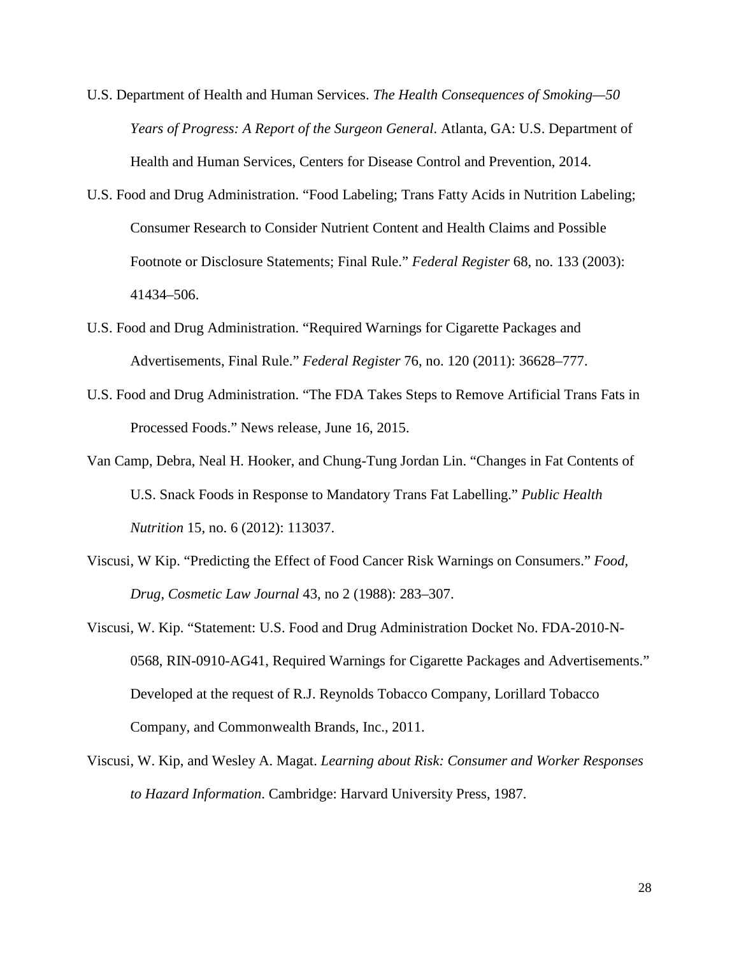- U.S. Department of Health and Human Services. *The Health Consequences of Smoking—50 Years of Progress: A Report of the Surgeon General*. Atlanta, GA: U.S. Department of Health and Human Services, Centers for Disease Control and Prevention, 2014.
- U.S. Food and Drug Administration. "Food Labeling; Trans Fatty Acids in Nutrition Labeling; Consumer Research to Consider Nutrient Content and Health Claims and Possible Footnote or Disclosure Statements; Final Rule." *Federal Register* 68, no. 133 (2003): 41434–506.
- U.S. Food and Drug Administration. "Required Warnings for Cigarette Packages and Advertisements, Final Rule." *Federal Register* 76, no. 120 (2011): 36628–777.
- U.S. Food and Drug Administration. "The FDA Takes Steps to Remove Artificial Trans Fats in Processed Foods." News release, June 16, 2015.
- Van Camp, Debra, Neal H. Hooker, and Chung-Tung Jordan Lin. "Changes in Fat Contents of U.S. Snack Foods in Response to Mandatory Trans Fat Labelling." *Public Health Nutrition* 15, no. 6 (2012): 113037.
- Viscusi, W Kip. "Predicting the Effect of Food Cancer Risk Warnings on Consumers." *Food, Drug, Cosmetic Law Journal* 43, no 2 (1988): 283–307.
- Viscusi, W. Kip. "Statement: U.S. Food and Drug Administration Docket No. FDA-2010-N-0568, RIN-0910-AG41, Required Warnings for Cigarette Packages and Advertisements." Developed at the request of R.J. Reynolds Tobacco Company, Lorillard Tobacco Company, and Commonwealth Brands, Inc., 2011.
- Viscusi, W. Kip, and Wesley A. Magat. *Learning about Risk: Consumer and Worker Responses to Hazard Information*. Cambridge: Harvard University Press, 1987.